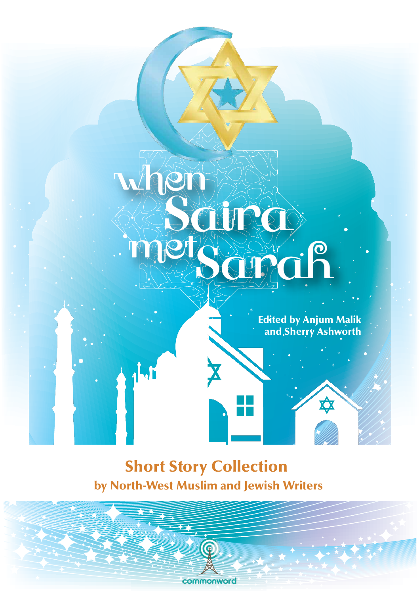#### Edited by Anjum Malik and Sherry Ashworth

≿

SGTGA

SCHIRC

# Short Story Collection by North-West Muslim and Jewish Writers

commonword

when

mget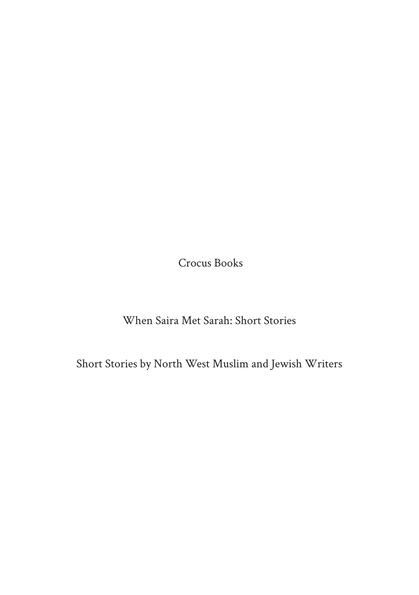Crocus Books

When Saira Met Sarah: Short Stories

Short Stories by North West Muslim and Jewish Writers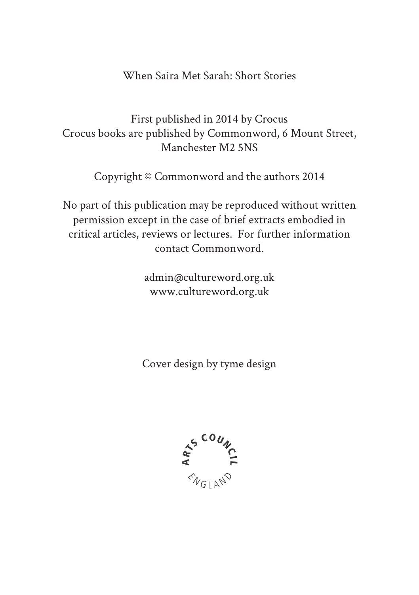#### When Saira Met Sarah: Short Stories

First published in 2014 by Crocus Crocus books are published by Commonword, 6 Mount Street, Manchester M2 5NS

Copyright © Commonword and the authors 2014

No part of this publication may be reproduced without written permission except in the case of brief extracts embodied in critical articles, reviews or lectures. For further information contact Commonword.

> admin@cultureword.org.uk www.cultureword.org.uk

Cover design by tyme design

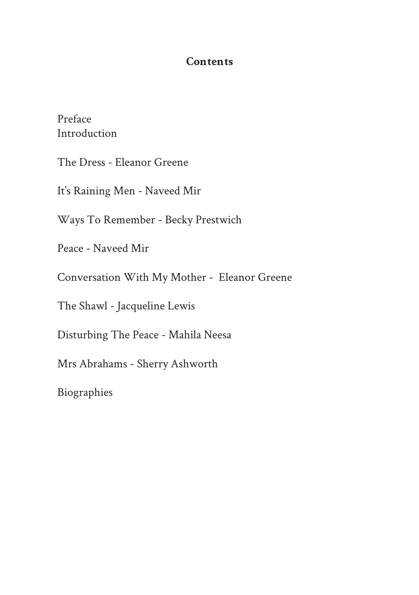#### **Contents**

Preface Introduction

The Dress - Eleanor Greene

It's Raining Men - Naveed Mir

Ways To Remember - Becky Prestwich

Peace - Naveed Mir

Conversation With My Mother - Eleanor Greene

The Shawl - Jacqueline Lewis

Disturbing The Peace - Mahila Neesa

Mrs Abrahams - Sherry Ashworth

Biographies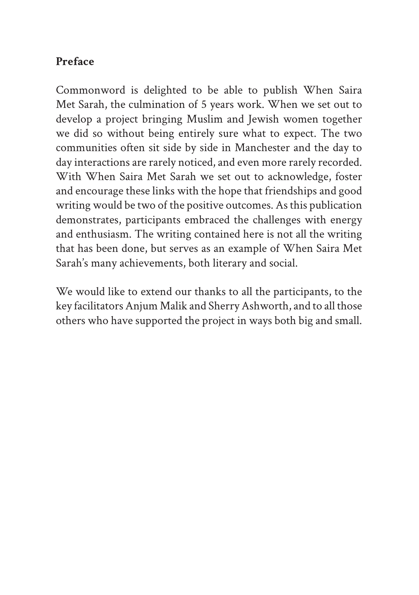## **Preface**

Commonword is delighted to be able to publish When Saira Met Sarah, the culmination of 5 years work. When we set out to develop a project bringing Muslim and Jewish women together we did so without being entirely sure what to expect. The two communities often sit side by side in Manchester and the day to day interactions are rarely noticed, and even more rarely recorded. With When Saira Met Sarah we set out to acknowledge, foster and encourage these links with the hope that friendships and good writing would be two of the positive outcomes. As this publication demonstrates, participants embraced the challenges with energy and enthusiasm. The writing contained here is not all the writing that has been done, but serves as an example of When Saira Met Sarah's many achievements, both literary and social.

We would like to extend our thanks to all the participants, to the key facilitators Anjum Malik and Sherry Ashworth, and to all those others who have supported the project in ways both big and small.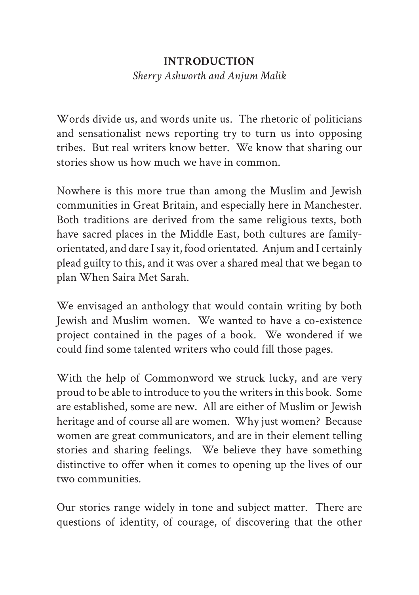#### **INTRODUCTION**

*Sherry Ashworth and Anjum Malik*

Words divide us, and words unite us. The rhetoric of politicians and sensationalist news reporting try to turn us into opposing tribes. But real writers know better. We know that sharing our stories show us how much we have in common.

Nowhere is this more true than among the Muslim and Jewish communities in Great Britain, and especially here in Manchester. Both traditions are derived from the same religious texts, both have sacred places in the Middle East, both cultures are familyorientated, and dare I say it, food orientated. Anjum and I certainly plead guilty to this, and it was over a shared meal that we began to plan When Saira Met Sarah.

We envisaged an anthology that would contain writing by both Jewish and Muslim women. We wanted to have a co-existence project contained in the pages of a book. We wondered if we could find some talented writers who could fill those pages.

With the help of Commonword we struck lucky, and are very proud to be able to introduce to you the writers in this book. Some are established, some are new. All are either of Muslim or Jewish heritage and of course all are women. Why just women? Because women are great communicators, and are in their element telling stories and sharing feelings. We believe they have something distinctive to offer when it comes to opening up the lives of our two communities.

Our stories range widely in tone and subject matter. There are questions of identity, of courage, of discovering that the other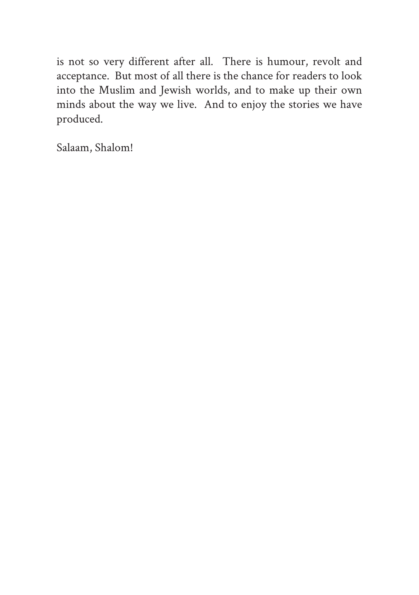is not so very different after all. There is humour, revolt and acceptance. But most of all there is the chance for readers to look into the Muslim and Jewish worlds, and to make up their own minds about the way we live. And to enjoy the stories we have produced.

Salaam, Shalom!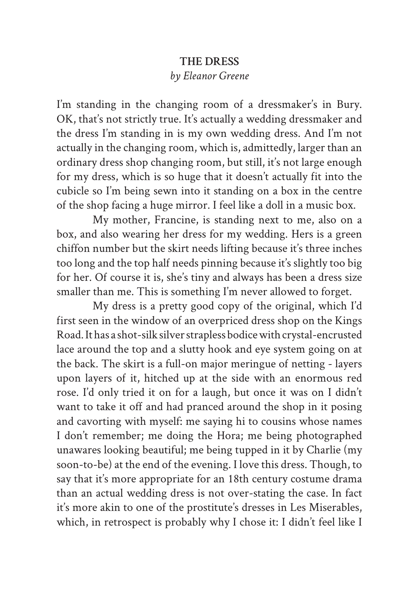#### **THE DRESS** *by Eleanor Greene*

I'm standing in the changing room of a dressmaker's in Bury. OK, that's not strictly true. It's actually a wedding dressmaker and the dress I'm standing in is my own wedding dress. And I'm not actually in the changing room, which is, admittedly, larger than an ordinary dress shop changing room, but still, it's not large enough for my dress, which is so huge that it doesn't actually fit into the cubicle so I'm being sewn into it standing on a box in the centre of the shop facing a huge mirror. I feel like a doll in a music box.

My mother, Francine, is standing next to me, also on a box, and also wearing her dress for my wedding. Hers is a green chiffon number but the skirt needs lifting because it's three inches too long and the top half needs pinning because it's slightly too big for her. Of course it is, she's tiny and always has been a dress size smaller than me. This is something I'm never allowed to forget.

My dress is a pretty good copy of the original, which I'd first seen in the window of an overpriced dress shop on the Kings Road. It has a shot-silk silver strapless bodice with crystal-encrusted lace around the top and a slutty hook and eye system going on at the back. The skirt is a full-on major meringue of netting - layers upon layers of it, hitched up at the side with an enormous red rose. I'd only tried it on for a laugh, but once it was on I didn't want to take it off and had pranced around the shop in it posing and cavorting with myself: me saying hi to cousins whose names I don't remember; me doing the Hora; me being photographed unawares looking beautiful; me being tupped in it by Charlie (my soon-to-be) at the end of the evening. I love this dress. Though, to say that it's more appropriate for an 18th century costume drama than an actual wedding dress is not over-stating the case. In fact it's more akin to one of the prostitute's dresses in Les Miserables, which, in retrospect is probably why I chose it: I didn't feel like I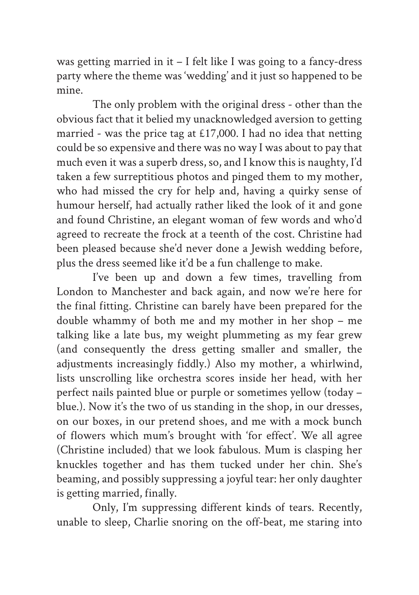was getting married in it – I felt like I was going to a fancy-dress party where the theme was 'wedding' and it just so happened to be mine.

The only problem with the original dress - other than the obvious fact that it belied my unacknowledged aversion to getting married - was the price tag at £17,000. I had no idea that netting could be so expensive and there was no way I was about to pay that much even it was a superb dress, so, and I know this is naughty, I'd taken a few surreptitious photos and pinged them to my mother, who had missed the cry for help and, having a quirky sense of humour herself, had actually rather liked the look of it and gone and found Christine, an elegant woman of few words and who'd agreed to recreate the frock at a teenth of the cost. Christine had been pleased because she'd never done a Jewish wedding before, plus the dress seemed like it'd be a fun challenge to make.

I've been up and down a few times, travelling from London to Manchester and back again, and now we're here for the final fitting. Christine can barely have been prepared for the double whammy of both me and my mother in her shop – me talking like a late bus, my weight plummeting as my fear grew (and consequently the dress getting smaller and smaller, the adjustments increasingly fiddly.) Also my mother, a whirlwind, lists unscrolling like orchestra scores inside her head, with her perfect nails painted blue or purple or sometimes yellow (today – blue.). Now it's the two of us standing in the shop, in our dresses, on our boxes, in our pretend shoes, and me with a mock bunch of flowers which mum's brought with 'for effect'. We all agree (Christine included) that we look fabulous. Mum is clasping her knuckles together and has them tucked under her chin. She's beaming, and possibly suppressing a joyful tear: her only daughter is getting married, finally.

Only, I'm suppressing different kinds of tears. Recently, unable to sleep, Charlie snoring on the off-beat, me staring into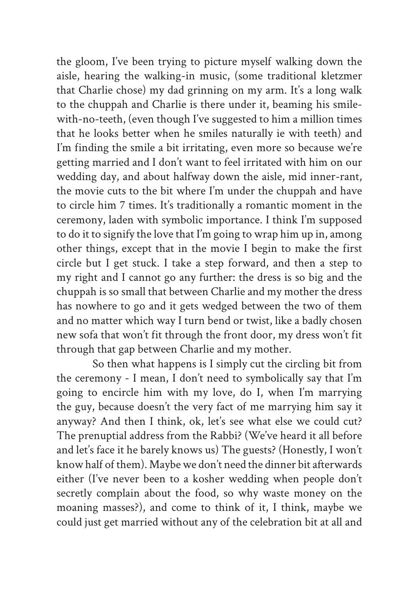the gloom, I've been trying to picture myself walking down the aisle, hearing the walking-in music, (some traditional kletzmer that Charlie chose) my dad grinning on my arm. It's a long walk to the chuppah and Charlie is there under it, beaming his smilewith-no-teeth, (even though I've suggested to him a million times that he looks better when he smiles naturally ie with teeth) and I'm finding the smile a bit irritating, even more so because we're getting married and I don't want to feel irritated with him on our wedding day, and about halfway down the aisle, mid inner-rant, the movie cuts to the bit where I'm under the chuppah and have to circle him 7 times. It's traditionally a romantic moment in the ceremony, laden with symbolic importance. I think I'm supposed to do it to signify the love that I'm going to wrap him up in, among other things, except that in the movie I begin to make the first circle but I get stuck. I take a step forward, and then a step to my right and I cannot go any further: the dress is so big and the chuppah is so small that between Charlie and my mother the dress has nowhere to go and it gets wedged between the two of them and no matter which way I turn bend or twist, like a badly chosen new sofa that won't fit through the front door, my dress won't fit through that gap between Charlie and my mother.

So then what happens is I simply cut the circling bit from the ceremony - I mean, I don't need to symbolically say that I'm going to encircle him with my love, do I, when I'm marrying the guy, because doesn't the very fact of me marrying him say it anyway? And then I think, ok, let's see what else we could cut? The prenuptial address from the Rabbi? (We've heard it all before and let's face it he barely knows us) The guests? (Honestly, I won't know half of them). Maybe we don't need the dinner bit afterwards either (I've never been to a kosher wedding when people don't secretly complain about the food, so why waste money on the moaning masses?), and come to think of it, I think, maybe we could just get married without any of the celebration bit at all and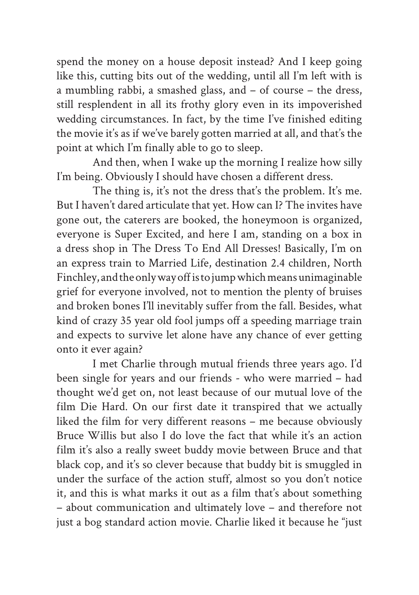spend the money on a house deposit instead? And I keep going like this, cutting bits out of the wedding, until all I'm left with is a mumbling rabbi, a smashed glass, and – of course – the dress, still resplendent in all its frothy glory even in its impoverished wedding circumstances. In fact, by the time I've finished editing the movie it's as if we've barely gotten married at all, and that's the point at which I'm finally able to go to sleep.

And then, when I wake up the morning I realize how silly I'm being. Obviously I should have chosen a different dress.

The thing is, it's not the dress that's the problem. It's me. But I haven't dared articulate that yet. How can I? The invites have gone out, the caterers are booked, the honeymoon is organized, everyone is Super Excited, and here I am, standing on a box in a dress shop in The Dress To End All Dresses! Basically, I'm on an express train to Married Life, destination 2.4 children, North Finchley, and the only way off is to jump which means unimaginable grief for everyone involved, not to mention the plenty of bruises and broken bones I'll inevitably suffer from the fall. Besides, what kind of crazy 35 year old fool jumps off a speeding marriage train and expects to survive let alone have any chance of ever getting onto it ever again?

I met Charlie through mutual friends three years ago. I'd been single for years and our friends - who were married – had thought we'd get on, not least because of our mutual love of the film Die Hard. On our first date it transpired that we actually liked the film for very different reasons – me because obviously Bruce Willis but also I do love the fact that while it's an action film it's also a really sweet buddy movie between Bruce and that black cop, and it's so clever because that buddy bit is smuggled in under the surface of the action stuff, almost so you don't notice it, and this is what marks it out as a film that's about something – about communication and ultimately love – and therefore not just a bog standard action movie. Charlie liked it because he "just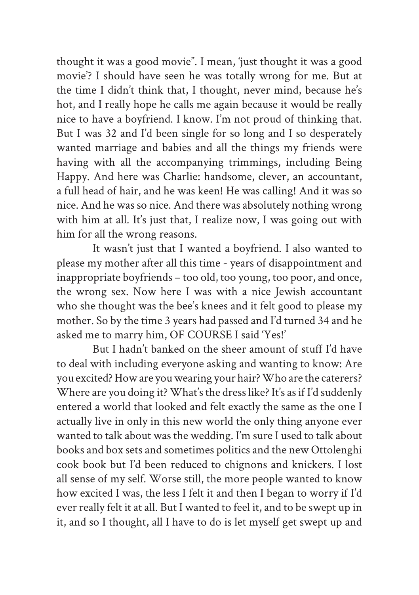thought it was a good movie". I mean, 'just thought it was a good movie'? I should have seen he was totally wrong for me. But at the time I didn't think that, I thought, never mind, because he's hot, and I really hope he calls me again because it would be really nice to have a boyfriend. I know. I'm not proud of thinking that. But I was 32 and I'd been single for so long and I so desperately wanted marriage and babies and all the things my friends were having with all the accompanying trimmings, including Being Happy. And here was Charlie: handsome, clever, an accountant, a full head of hair, and he was keen! He was calling! And it was so nice. And he was so nice. And there was absolutely nothing wrong with him at all. It's just that, I realize now, I was going out with him for all the wrong reasons.

It wasn't just that I wanted a boyfriend. I also wanted to please my mother after all this time - years of disappointment and inappropriate boyfriends – too old, too young, too poor, and once, the wrong sex. Now here I was with a nice Jewish accountant who she thought was the bee's knees and it felt good to please my mother. So by the time 3 years had passed and I'd turned 34 and he asked me to marry him, OF COURSE I said 'Yes!'

But I hadn't banked on the sheer amount of stuff I'd have to deal with including everyone asking and wanting to know: Are you excited? How are you wearing your hair? Who are the caterers? Where are you doing it? What's the dress like? It's as if I'd suddenly entered a world that looked and felt exactly the same as the one I actually live in only in this new world the only thing anyone ever wanted to talk about was the wedding. I'm sure I used to talk about books and box sets and sometimes politics and the new Ottolenghi cook book but I'd been reduced to chignons and knickers. I lost all sense of my self. Worse still, the more people wanted to know how excited I was, the less I felt it and then I began to worry if I'd ever really felt it at all. But I wanted to feel it, and to be swept up in it, and so I thought, all I have to do is let myself get swept up and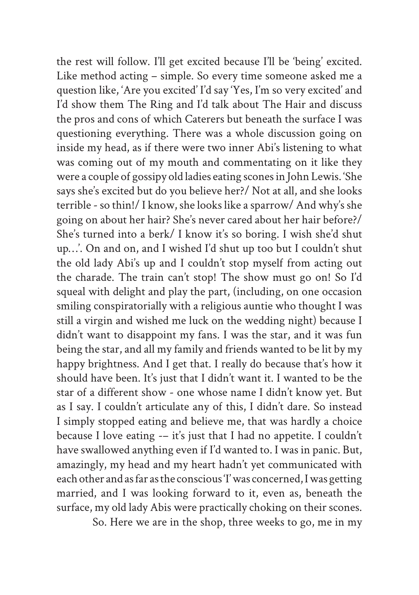the rest will follow. I'll get excited because I'll be 'being' excited. Like method acting – simple. So every time someone asked me a question like, 'Are you excited' I'd say 'Yes, I'm so very excited' and I'd show them The Ring and I'd talk about The Hair and discuss the pros and cons of which Caterers but beneath the surface I was questioning everything. There was a whole discussion going on inside my head, as if there were two inner Abi's listening to what was coming out of my mouth and commentating on it like they were a couple of gossipy old ladies eating scones in John Lewis. 'She says she's excited but do you believe her?/ Not at all, and she looks terrible - so thin!/ I know, she looks like a sparrow/ And why's she going on about her hair? She's never cared about her hair before?/ She's turned into a berk/ I know it's so boring. I wish she'd shut up…'. On and on, and I wished I'd shut up too but I couldn't shut the old lady Abi's up and I couldn't stop myself from acting out the charade. The train can't stop! The show must go on! So I'd squeal with delight and play the part, (including, on one occasion smiling conspiratorially with a religious auntie who thought I was still a virgin and wished me luck on the wedding night) because I didn't want to disappoint my fans. I was the star, and it was fun being the star, and all my family and friends wanted to be lit by my happy brightness. And I get that. I really do because that's how it should have been. It's just that I didn't want it. I wanted to be the star of a different show - one whose name I didn't know yet. But as I say. I couldn't articulate any of this, I didn't dare. So instead I simply stopped eating and believe me, that was hardly a choice because I love eating -– it's just that I had no appetite. I couldn't have swallowed anything even if I'd wanted to. I was in panic. But, amazingly, my head and my heart hadn't yet communicated with each other and as far as the conscious 'I' was concerned, I was getting married, and I was looking forward to it, even as, beneath the surface, my old lady Abis were practically choking on their scones.

So. Here we are in the shop, three weeks to go, me in my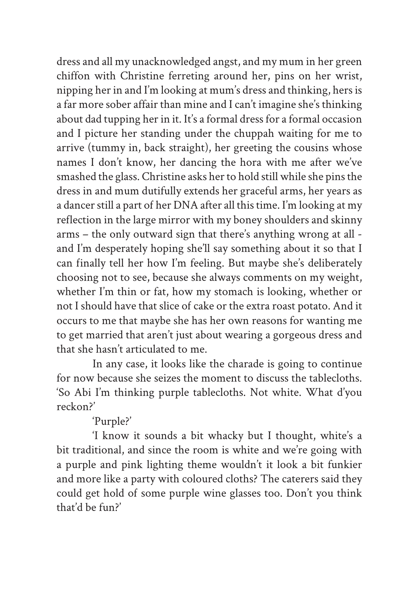dress and all my unacknowledged angst, and my mum in her green chiffon with Christine ferreting around her, pins on her wrist, nipping her in and I'm looking at mum's dress and thinking, hers is a far more sober affair than mine and I can't imagine she's thinking about dad tupping her in it. It's a formal dress for a formal occasion and I picture her standing under the chuppah waiting for me to arrive (tummy in, back straight), her greeting the cousins whose names I don't know, her dancing the hora with me after we've smashed the glass. Christine asks her to hold still while she pins the dress in and mum dutifully extends her graceful arms, her years as a dancer still a part of her DNA after all this time. I'm looking at my reflection in the large mirror with my boney shoulders and skinny arms – the only outward sign that there's anything wrong at all and I'm desperately hoping she'll say something about it so that I can finally tell her how I'm feeling. But maybe she's deliberately choosing not to see, because she always comments on my weight, whether I'm thin or fat, how my stomach is looking, whether or not I should have that slice of cake or the extra roast potato. And it occurs to me that maybe she has her own reasons for wanting me to get married that aren't just about wearing a gorgeous dress and that she hasn't articulated to me.

In any case, it looks like the charade is going to continue for now because she seizes the moment to discuss the tablecloths. 'So Abi I'm thinking purple tablecloths. Not white. What d'you reckon?'

'Purple?'

'I know it sounds a bit whacky but I thought, white's a bit traditional, and since the room is white and we're going with a purple and pink lighting theme wouldn't it look a bit funkier and more like a party with coloured cloths? The caterers said they could get hold of some purple wine glasses too. Don't you think that'd be fun?'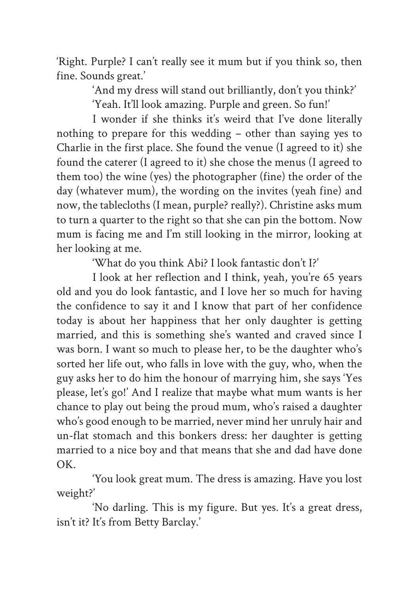'Right. Purple? I can't really see it mum but if you think so, then fine. Sounds great.'

> 'And my dress will stand out brilliantly, don't you think?' 'Yeah. It'll look amazing. Purple and green. So fun!'

I wonder if she thinks it's weird that I've done literally nothing to prepare for this wedding – other than saying yes to Charlie in the first place. She found the venue (I agreed to it) she found the caterer (I agreed to it) she chose the menus (I agreed to them too) the wine (yes) the photographer (fine) the order of the day (whatever mum), the wording on the invites (yeah fine) and now, the tablecloths (I mean, purple? really?). Christine asks mum to turn a quarter to the right so that she can pin the bottom. Now mum is facing me and I'm still looking in the mirror, looking at her looking at me.

'What do you think Abi? I look fantastic don't I?'

I look at her reflection and I think, yeah, you're 65 years old and you do look fantastic, and I love her so much for having the confidence to say it and I know that part of her confidence today is about her happiness that her only daughter is getting married, and this is something she's wanted and craved since I was born. I want so much to please her, to be the daughter who's sorted her life out, who falls in love with the guy, who, when the guy asks her to do him the honour of marrying him, she says 'Yes please, let's go!' And I realize that maybe what mum wants is her chance to play out being the proud mum, who's raised a daughter who's good enough to be married, never mind her unruly hair and un-flat stomach and this bonkers dress: her daughter is getting married to a nice boy and that means that she and dad have done OK.

'You look great mum. The dress is amazing. Have you lost weight?'

'No darling. This is my figure. But yes. It's a great dress, isn't it? It's from Betty Barclay.'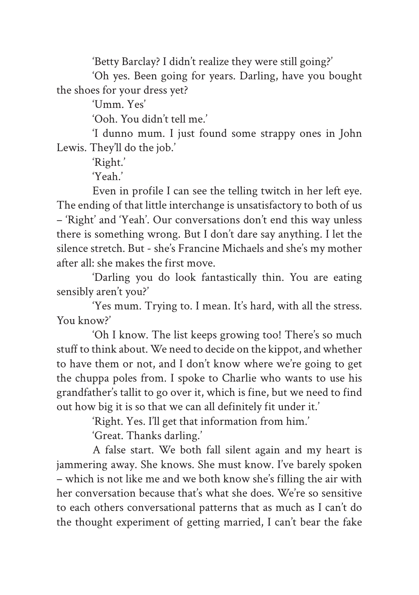'Betty Barclay? I didn't realize they were still going?'

'Oh yes. Been going for years. Darling, have you bought the shoes for your dress yet?

'Umm. Yes'

'Ooh. You didn't tell me.'

'I dunno mum. I just found some strappy ones in John Lewis. They'll do the job.'

'Right.'

'Yeah.'

Even in profile I can see the telling twitch in her left eye. The ending of that little interchange is unsatisfactory to both of us – 'Right' and 'Yeah'. Our conversations don't end this way unless there is something wrong. But I don't dare say anything. I let the silence stretch. But - she's Francine Michaels and she's my mother after all: she makes the first move.

'Darling you do look fantastically thin. You are eating sensibly aren't you?'

'Yes mum. Trying to. I mean. It's hard, with all the stress. You know?'

'Oh I know. The list keeps growing too! There's so much stuff to think about. We need to decide on the kippot, and whether to have them or not, and I don't know where we're going to get the chuppa poles from. I spoke to Charlie who wants to use his grandfather's tallit to go over it, which is fine, but we need to find out how big it is so that we can all definitely fit under it.'

'Right. Yes. I'll get that information from him.'

'Great. Thanks darling.'

A false start. We both fall silent again and my heart is jammering away. She knows. She must know. I've barely spoken – which is not like me and we both know she's filling the air with her conversation because that's what she does. We're so sensitive to each others conversational patterns that as much as I can't do the thought experiment of getting married, I can't bear the fake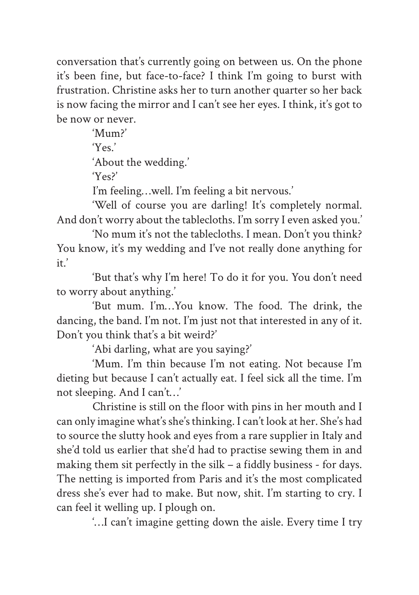conversation that's currently going on between us. On the phone it's been fine, but face-to-face? I think I'm going to burst with frustration. Christine asks her to turn another quarter so her back is now facing the mirror and I can't see her eyes. I think, it's got to be now or never.

> 'Mum?' 'Yes.' 'About the wedding.'  $Y_{\text{ec}}$

I'm feeling…well. I'm feeling a bit nervous.'

'Well of course you are darling! It's completely normal. And don't worry about the tablecloths. I'm sorry I even asked you.'

'No mum it's not the tablecloths. I mean. Don't you think? You know, it's my wedding and I've not really done anything for it.'

'But that's why I'm here! To do it for you. You don't need to worry about anything.'

'But mum. I'm…You know. The food. The drink, the dancing, the band. I'm not. I'm just not that interested in any of it. Don't you think that's a bit weird?'

'Abi darling, what are you saying?'

'Mum. I'm thin because I'm not eating. Not because I'm dieting but because I can't actually eat. I feel sick all the time. I'm not sleeping. And I can't…'

Christine is still on the floor with pins in her mouth and I can only imagine what's she's thinking. I can't look at her. She's had to source the slutty hook and eyes from a rare supplier in Italy and she'd told us earlier that she'd had to practise sewing them in and making them sit perfectly in the silk – a fiddly business - for days. The netting is imported from Paris and it's the most complicated dress she's ever had to make. But now, shit. I'm starting to cry. I can feel it welling up. I plough on.

'…I can't imagine getting down the aisle. Every time I try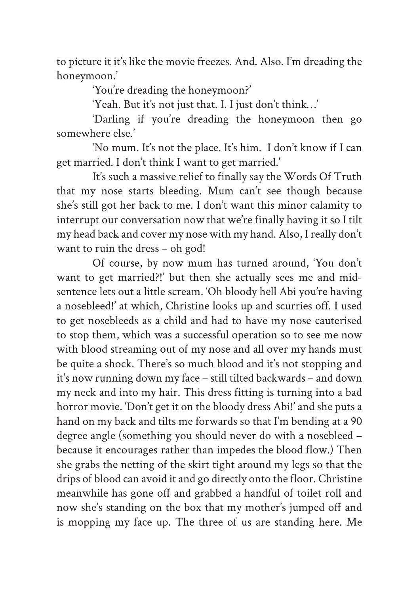to picture it it's like the movie freezes. And. Also. I'm dreading the honeymoon.'

'You're dreading the honeymoon?'

'Yeah. But it's not just that. I. I just don't think…'

'Darling if you're dreading the honeymoon then go somewhere else.'

'No mum. It's not the place. It's him. I don't know if I can get married. I don't think I want to get married.'

It's such a massive relief to finally say the Words Of Truth that my nose starts bleeding. Mum can't see though because she's still got her back to me. I don't want this minor calamity to interrupt our conversation now that we're finally having it so I tilt my head back and cover my nose with my hand. Also, I really don't want to ruin the dress – oh god!

Of course, by now mum has turned around, 'You don't want to get married?!' but then she actually sees me and midsentence lets out a little scream. 'Oh bloody hell Abi you're having a nosebleed!' at which, Christine looks up and scurries off. I used to get nosebleeds as a child and had to have my nose cauterised to stop them, which was a successful operation so to see me now with blood streaming out of my nose and all over my hands must be quite a shock. There's so much blood and it's not stopping and it's now running down my face – still tilted backwards – and down my neck and into my hair. This dress fitting is turning into a bad horror movie. 'Don't get it on the bloody dress Abi!' and she puts a hand on my back and tilts me forwards so that I'm bending at a 90 degree angle (something you should never do with a nosebleed – because it encourages rather than impedes the blood flow.) Then she grabs the netting of the skirt tight around my legs so that the drips of blood can avoid it and go directly onto the floor. Christine meanwhile has gone off and grabbed a handful of toilet roll and now she's standing on the box that my mother's jumped off and is mopping my face up. The three of us are standing here. Me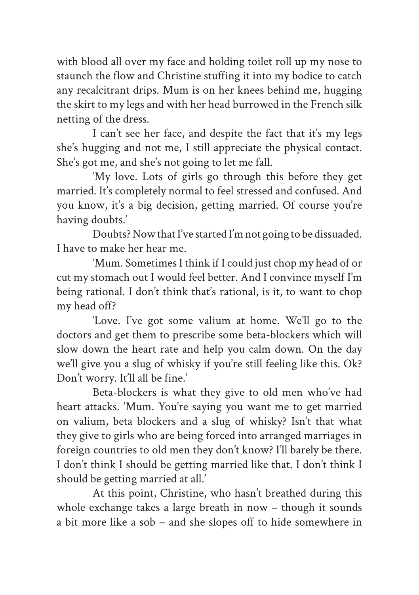with blood all over my face and holding toilet roll up my nose to staunch the flow and Christine stuffing it into my bodice to catch any recalcitrant drips. Mum is on her knees behind me, hugging the skirt to my legs and with her head burrowed in the French silk netting of the dress.

I can't see her face, and despite the fact that it's my legs she's hugging and not me, I still appreciate the physical contact. She's got me, and she's not going to let me fall.

'My love. Lots of girls go through this before they get married. It's completely normal to feel stressed and confused. And you know, it's a big decision, getting married. Of course you're having doubts.'

Doubts? Now that I've started I'm not going to be dissuaded. I have to make her hear me.

'Mum. Sometimes I think if I could just chop my head of or cut my stomach out I would feel better. And I convince myself I'm being rational. I don't think that's rational, is it, to want to chop my head off?

'Love. I've got some valium at home. We'll go to the doctors and get them to prescribe some beta-blockers which will slow down the heart rate and help you calm down. On the day we'll give you a slug of whisky if you're still feeling like this. Ok? Don't worry. It'll all be fine.'

Beta-blockers is what they give to old men who've had heart attacks. 'Mum. You're saying you want me to get married on valium, beta blockers and a slug of whisky? Isn't that what they give to girls who are being forced into arranged marriages in foreign countries to old men they don't know? I'll barely be there. I don't think I should be getting married like that. I don't think I should be getting married at all.'

At this point, Christine, who hasn't breathed during this whole exchange takes a large breath in now – though it sounds a bit more like a sob – and she slopes off to hide somewhere in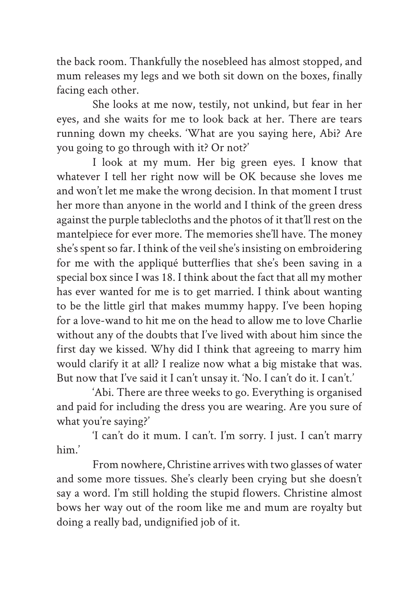the back room. Thankfully the nosebleed has almost stopped, and mum releases my legs and we both sit down on the boxes, finally facing each other.

She looks at me now, testily, not unkind, but fear in her eyes, and she waits for me to look back at her. There are tears running down my cheeks. 'What are you saying here, Abi? Are you going to go through with it? Or not?'

I look at my mum. Her big green eyes. I know that whatever I tell her right now will be OK because she loves me and won't let me make the wrong decision. In that moment I trust her more than anyone in the world and I think of the green dress against the purple tablecloths and the photos of it that'll rest on the mantelpiece for ever more. The memories she'll have. The money she's spent so far. I think of the veil she's insisting on embroidering for me with the appliqué butterflies that she's been saving in a special box since I was 18. I think about the fact that all my mother has ever wanted for me is to get married. I think about wanting to be the little girl that makes mummy happy. I've been hoping for a love-wand to hit me on the head to allow me to love Charlie without any of the doubts that I've lived with about him since the first day we kissed. Why did I think that agreeing to marry him would clarify it at all? I realize now what a big mistake that was. But now that I've said it I can't unsay it. 'No. I can't do it. I can't.'

'Abi. There are three weeks to go. Everything is organised and paid for including the dress you are wearing. Are you sure of what you're saying?'

'I can't do it mum. I can't. I'm sorry. I just. I can't marry him.'

From nowhere, Christine arrives with two glasses of water and some more tissues. She's clearly been crying but she doesn't say a word. I'm still holding the stupid flowers. Christine almost bows her way out of the room like me and mum are royalty but doing a really bad, undignified job of it.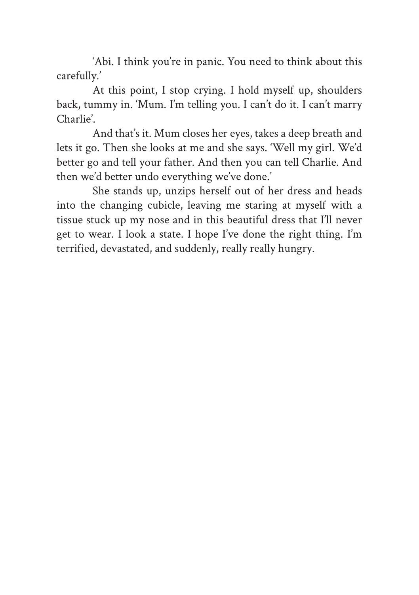'Abi. I think you're in panic. You need to think about this carefully.'

At this point, I stop crying. I hold myself up, shoulders back, tummy in. 'Mum. I'm telling you. I can't do it. I can't marry Charlie'.

And that's it. Mum closes her eyes, takes a deep breath and lets it go. Then she looks at me and she says. 'Well my girl. We'd better go and tell your father. And then you can tell Charlie. And then we'd better undo everything we've done.'

She stands up, unzips herself out of her dress and heads into the changing cubicle, leaving me staring at myself with a tissue stuck up my nose and in this beautiful dress that I'll never get to wear. I look a state. I hope I've done the right thing. I'm terrified, devastated, and suddenly, really really hungry.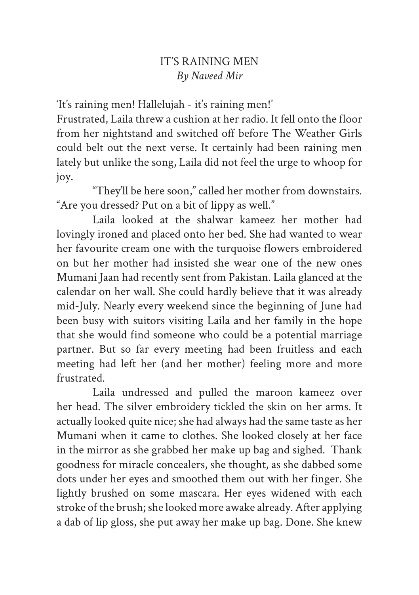# IT'S RAINING MEN *By Naveed Mir*

'It's raining men! Hallelujah - it's raining men!'

Frustrated, Laila threw a cushion at her radio. It fell onto the floor from her nightstand and switched off before The Weather Girls could belt out the next verse. It certainly had been raining men lately but unlike the song, Laila did not feel the urge to whoop for joy.

"They'll be here soon," called her mother from downstairs. "Are you dressed? Put on a bit of lippy as well."

Laila looked at the shalwar kameez her mother had lovingly ironed and placed onto her bed. She had wanted to wear her favourite cream one with the turquoise flowers embroidered on but her mother had insisted she wear one of the new ones Mumani Jaan had recently sent from Pakistan. Laila glanced at the calendar on her wall. She could hardly believe that it was already mid-July. Nearly every weekend since the beginning of June had been busy with suitors visiting Laila and her family in the hope that she would find someone who could be a potential marriage partner. But so far every meeting had been fruitless and each meeting had left her (and her mother) feeling more and more frustrated.

Laila undressed and pulled the maroon kameez over her head. The silver embroidery tickled the skin on her arms. It actually looked quite nice; she had always had the same taste as her Mumani when it came to clothes. She looked closely at her face in the mirror as she grabbed her make up bag and sighed. Thank goodness for miracle concealers, she thought, as she dabbed some dots under her eyes and smoothed them out with her finger. She lightly brushed on some mascara. Her eyes widened with each stroke of the brush; she looked more awake already. After applying a dab of lip gloss, she put away her make up bag. Done. She knew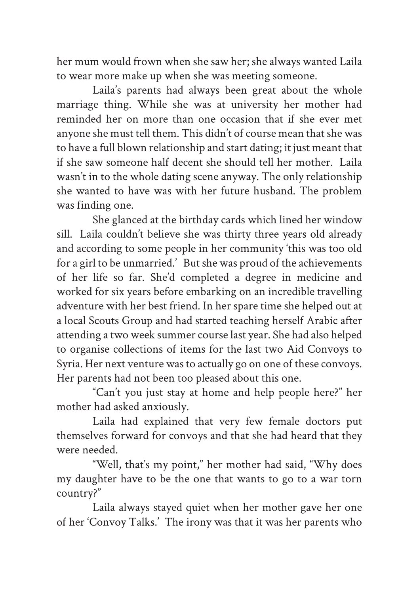her mum would frown when she saw her; she always wanted Laila to wear more make up when she was meeting someone.

Laila's parents had always been great about the whole marriage thing. While she was at university her mother had reminded her on more than one occasion that if she ever met anyone she must tell them. This didn't of course mean that she was to have a full blown relationship and start dating; it just meant that if she saw someone half decent she should tell her mother. Laila wasn't in to the whole dating scene anyway. The only relationship she wanted to have was with her future husband. The problem was finding one.

She glanced at the birthday cards which lined her window sill. Laila couldn't believe she was thirty three years old already and according to some people in her community 'this was too old for a girl to be unmarried.' But she was proud of the achievements of her life so far. She'd completed a degree in medicine and worked for six years before embarking on an incredible travelling adventure with her best friend. In her spare time she helped out at a local Scouts Group and had started teaching herself Arabic after attending a two week summer course last year. She had also helped to organise collections of items for the last two Aid Convoys to Syria. Her next venture was to actually go on one of these convoys. Her parents had not been too pleased about this one.

"Can't you just stay at home and help people here?" her mother had asked anxiously.

Laila had explained that very few female doctors put themselves forward for convoys and that she had heard that they were needed.

"Well, that's my point," her mother had said, "Why does my daughter have to be the one that wants to go to a war torn country?"

Laila always stayed quiet when her mother gave her one of her 'Convoy Talks.' The irony was that it was her parents who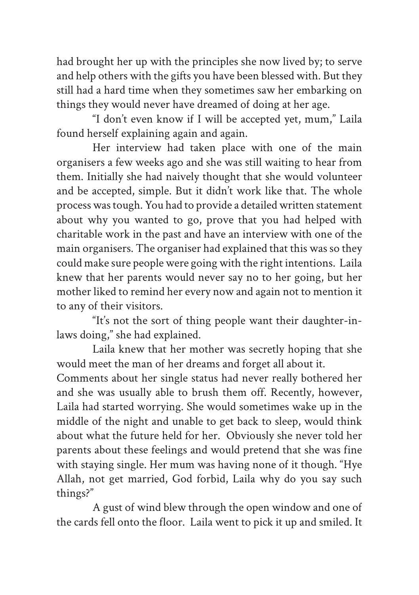had brought her up with the principles she now lived by; to serve and help others with the gifts you have been blessed with. But they still had a hard time when they sometimes saw her embarking on things they would never have dreamed of doing at her age.

"I don't even know if I will be accepted yet, mum," Laila found herself explaining again and again.

Her interview had taken place with one of the main organisers a few weeks ago and she was still waiting to hear from them. Initially she had naively thought that she would volunteer and be accepted, simple. But it didn't work like that. The whole process was tough. You had to provide a detailed written statement about why you wanted to go, prove that you had helped with charitable work in the past and have an interview with one of the main organisers. The organiser had explained that this was so they could make sure people were going with the right intentions. Laila knew that her parents would never say no to her going, but her mother liked to remind her every now and again not to mention it to any of their visitors.

"It's not the sort of thing people want their daughter-inlaws doing," she had explained.

Laila knew that her mother was secretly hoping that she would meet the man of her dreams and forget all about it. Comments about her single status had never really bothered her and she was usually able to brush them off. Recently, however, Laila had started worrying. She would sometimes wake up in the middle of the night and unable to get back to sleep, would think about what the future held for her. Obviously she never told her parents about these feelings and would pretend that she was fine with staying single. Her mum was having none of it though. "Hye Allah, not get married, God forbid, Laila why do you say such things?"

A gust of wind blew through the open window and one of the cards fell onto the floor. Laila went to pick it up and smiled. It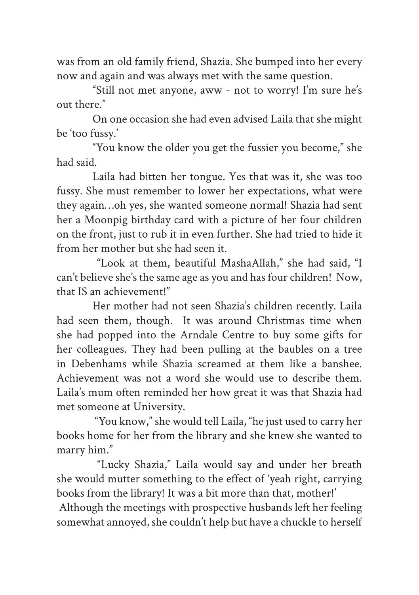was from an old family friend, Shazia. She bumped into her every now and again and was always met with the same question.

"Still not met anyone, aww - not to worry! I'm sure he's out there."

On one occasion she had even advised Laila that she might be 'too fussy.'

"You know the older you get the fussier you become," she had said.

Laila had bitten her tongue. Yes that was it, she was too fussy. She must remember to lower her expectations, what were they again…oh yes, she wanted someone normal! Shazia had sent her a Moonpig birthday card with a picture of her four children on the front, just to rub it in even further. She had tried to hide it from her mother but she had seen it.

 "Look at them, beautiful MashaAllah," she had said, "I can't believe she's the same age as you and has four children! Now, that IS an achievement!"

Her mother had not seen Shazia's children recently. Laila had seen them, though. It was around Christmas time when she had popped into the Arndale Centre to buy some gifts for her colleagues. They had been pulling at the baubles on a tree in Debenhams while Shazia screamed at them like a banshee. Achievement was not a word she would use to describe them. Laila's mum often reminded her how great it was that Shazia had met someone at University.

 "You know," she would tell Laila, "he just used to carry her books home for her from the library and she knew she wanted to marry him."

 "Lucky Shazia," Laila would say and under her breath she would mutter something to the effect of 'yeah right, carrying books from the library! It was a bit more than that, mother!'

 Although the meetings with prospective husbands left her feeling somewhat annoyed, she couldn't help but have a chuckle to herself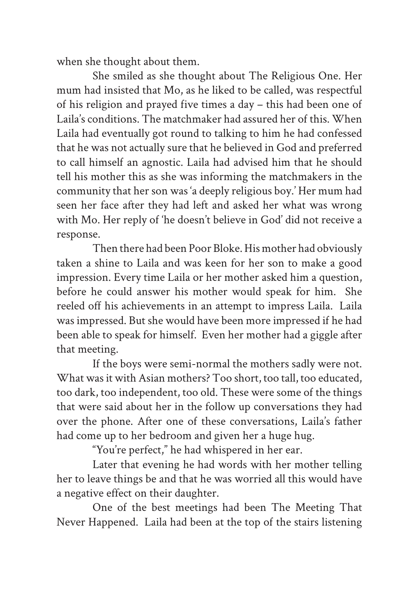when she thought about them.

She smiled as she thought about The Religious One. Her mum had insisted that Mo, as he liked to be called, was respectful of his religion and prayed five times a day – this had been one of Laila's conditions. The matchmaker had assured her of this. When Laila had eventually got round to talking to him he had confessed that he was not actually sure that he believed in God and preferred to call himself an agnostic. Laila had advised him that he should tell his mother this as she was informing the matchmakers in the community that her son was 'a deeply religious boy.' Her mum had seen her face after they had left and asked her what was wrong with Mo. Her reply of 'he doesn't believe in God' did not receive a response.

Then there had been Poor Bloke. His mother had obviously taken a shine to Laila and was keen for her son to make a good impression. Every time Laila or her mother asked him a question, before he could answer his mother would speak for him. She reeled off his achievements in an attempt to impress Laila. Laila was impressed. But she would have been more impressed if he had been able to speak for himself. Even her mother had a giggle after that meeting.

If the boys were semi-normal the mothers sadly were not. What was it with Asian mothers? Too short, too tall, too educated, too dark, too independent, too old. These were some of the things that were said about her in the follow up conversations they had over the phone. After one of these conversations, Laila's father had come up to her bedroom and given her a huge hug.

"You're perfect," he had whispered in her ear.

Later that evening he had words with her mother telling her to leave things be and that he was worried all this would have a negative effect on their daughter.

One of the best meetings had been The Meeting That Never Happened. Laila had been at the top of the stairs listening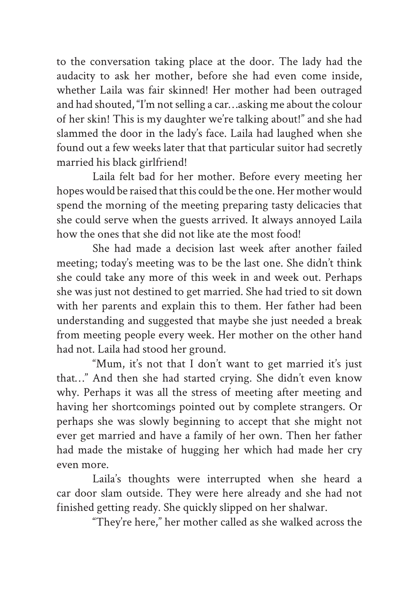to the conversation taking place at the door. The lady had the audacity to ask her mother, before she had even come inside, whether Laila was fair skinned! Her mother had been outraged and had shouted, "I'm not selling a car…asking me about the colour of her skin! This is my daughter we're talking about!" and she had slammed the door in the lady's face. Laila had laughed when she found out a few weeks later that that particular suitor had secretly married his black girlfriend!

Laila felt bad for her mother. Before every meeting her hopes would be raised that this could be the one. Her mother would spend the morning of the meeting preparing tasty delicacies that she could serve when the guests arrived. It always annoyed Laila how the ones that she did not like ate the most food!

She had made a decision last week after another failed meeting; today's meeting was to be the last one. She didn't think she could take any more of this week in and week out. Perhaps she was just not destined to get married. She had tried to sit down with her parents and explain this to them. Her father had been understanding and suggested that maybe she just needed a break from meeting people every week. Her mother on the other hand had not. Laila had stood her ground.

"Mum, it's not that I don't want to get married it's just that…" And then she had started crying. She didn't even know why. Perhaps it was all the stress of meeting after meeting and having her shortcomings pointed out by complete strangers. Or perhaps she was slowly beginning to accept that she might not ever get married and have a family of her own. Then her father had made the mistake of hugging her which had made her cry even more.

Laila's thoughts were interrupted when she heard a car door slam outside. They were here already and she had not finished getting ready. She quickly slipped on her shalwar.

"They're here," her mother called as she walked across the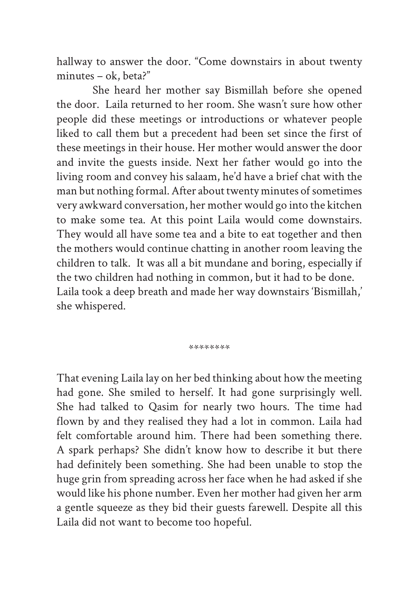hallway to answer the door. "Come downstairs in about twenty minutes – ok, beta?"

She heard her mother say Bismillah before she opened the door. Laila returned to her room. She wasn't sure how other people did these meetings or introductions or whatever people liked to call them but a precedent had been set since the first of these meetings in their house. Her mother would answer the door and invite the guests inside. Next her father would go into the living room and convey his salaam, he'd have a brief chat with the man but nothing formal. After about twenty minutes of sometimes very awkward conversation, her mother would go into the kitchen to make some tea. At this point Laila would come downstairs. They would all have some tea and a bite to eat together and then the mothers would continue chatting in another room leaving the children to talk. It was all a bit mundane and boring, especially if the two children had nothing in common, but it had to be done. Laila took a deep breath and made her way downstairs 'Bismillah,' she whispered.

\*\*\*\*\*\*\*\*

That evening Laila lay on her bed thinking about how the meeting had gone. She smiled to herself. It had gone surprisingly well. She had talked to Qasim for nearly two hours. The time had flown by and they realised they had a lot in common. Laila had felt comfortable around him. There had been something there. A spark perhaps? She didn't know how to describe it but there had definitely been something. She had been unable to stop the huge grin from spreading across her face when he had asked if she would like his phone number. Even her mother had given her arm a gentle squeeze as they bid their guests farewell. Despite all this Laila did not want to become too hopeful.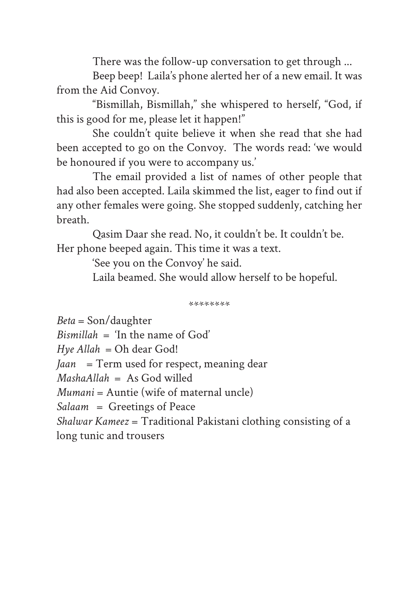There was the follow-up conversation to get through ...

Beep beep! Laila's phone alerted her of a new email. It was from the Aid Convoy.

"Bismillah, Bismillah," she whispered to herself, "God, if this is good for me, please let it happen!"

She couldn't quite believe it when she read that she had been accepted to go on the Convoy. The words read: 'we would be honoured if you were to accompany us.'

The email provided a list of names of other people that had also been accepted. Laila skimmed the list, eager to find out if any other females were going. She stopped suddenly, catching her breath.

Qasim Daar she read. No, it couldn't be. It couldn't be. Her phone beeped again. This time it was a text.

'See you on the Convoy' he said.

Laila beamed. She would allow herself to be hopeful.

\*\*\*\*\*\*\*\*

*Beta* = Son/daughter  $B$ *ismillah*  $=$   $\langle$ In the name of God<sup>'</sup> *Hye Allah* = Oh dear God! *Jaan* = Term used for respect, meaning dear *MashaAllah* = As God willed *Mumani* = Auntie (wife of maternal uncle) *Salaam* = Greetings of Peace *Shalwar Kameez* = Traditional Pakistani clothing consisting of a long tunic and trousers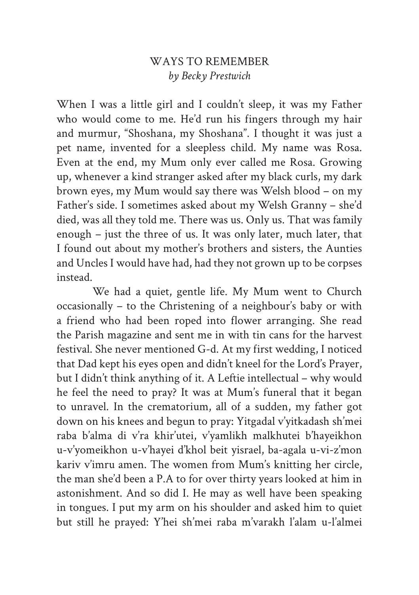## WAYS TO REMEMBER *by Becky Prestwich*

When I was a little girl and I couldn't sleep, it was my Father who would come to me. He'd run his fingers through my hair and murmur, "Shoshana, my Shoshana". I thought it was just a pet name, invented for a sleepless child. My name was Rosa. Even at the end, my Mum only ever called me Rosa. Growing up, whenever a kind stranger asked after my black curls, my dark brown eyes, my Mum would say there was Welsh blood – on my Father's side. I sometimes asked about my Welsh Granny – she'd died, was all they told me. There was us. Only us. That was family enough – just the three of us. It was only later, much later, that I found out about my mother's brothers and sisters, the Aunties and Uncles I would have had, had they not grown up to be corpses instead.

We had a quiet, gentle life. My Mum went to Church occasionally – to the Christening of a neighbour's baby or with a friend who had been roped into flower arranging. She read the Parish magazine and sent me in with tin cans for the harvest festival. She never mentioned G-d. At my first wedding, I noticed that Dad kept his eyes open and didn't kneel for the Lord's Prayer, but I didn't think anything of it. A Leftie intellectual – why would he feel the need to pray? It was at Mum's funeral that it began to unravel. In the crematorium, all of a sudden, my father got down on his knees and begun to pray: Yitgadal v'yitkadash sh'mei raba b'alma di v'ra khir'utei, v'yamlikh malkhutei b'hayeikhon u-v'yomeikhon u-v'hayei d'khol beit yisrael, ba-agala u-vi-z'mon kariv v'imru amen. The women from Mum's knitting her circle, the man she'd been a P.A to for over thirty years looked at him in astonishment. And so did I. He may as well have been speaking in tongues. I put my arm on his shoulder and asked him to quiet but still he prayed: Y'hei sh'mei raba m'varakh l'alam u-l'almei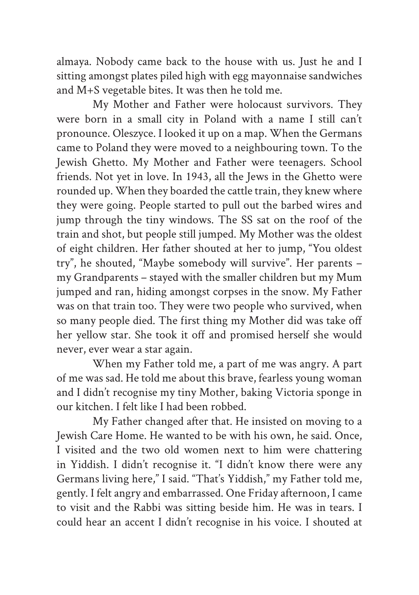almaya. Nobody came back to the house with us. Just he and I sitting amongst plates piled high with egg mayonnaise sandwiches and M+S vegetable bites. It was then he told me.

My Mother and Father were holocaust survivors. They were born in a small city in Poland with a name I still can't pronounce. Oleszyce. I looked it up on a map. When the Germans came to Poland they were moved to a neighbouring town. To the Jewish Ghetto. My Mother and Father were teenagers. School friends. Not yet in love. In 1943, all the Jews in the Ghetto were rounded up. When they boarded the cattle train, they knew where they were going. People started to pull out the barbed wires and jump through the tiny windows. The SS sat on the roof of the train and shot, but people still jumped. My Mother was the oldest of eight children. Her father shouted at her to jump, "You oldest try", he shouted, "Maybe somebody will survive". Her parents – my Grandparents – stayed with the smaller children but my Mum jumped and ran, hiding amongst corpses in the snow. My Father was on that train too. They were two people who survived, when so many people died. The first thing my Mother did was take off her yellow star. She took it off and promised herself she would never, ever wear a star again.

When my Father told me, a part of me was angry. A part of me was sad. He told me about this brave, fearless young woman and I didn't recognise my tiny Mother, baking Victoria sponge in our kitchen. I felt like I had been robbed.

My Father changed after that. He insisted on moving to a Jewish Care Home. He wanted to be with his own, he said. Once, I visited and the two old women next to him were chattering in Yiddish. I didn't recognise it. "I didn't know there were any Germans living here," I said. "That's Yiddish," my Father told me, gently. I felt angry and embarrassed. One Friday afternoon, I came to visit and the Rabbi was sitting beside him. He was in tears. I could hear an accent I didn't recognise in his voice. I shouted at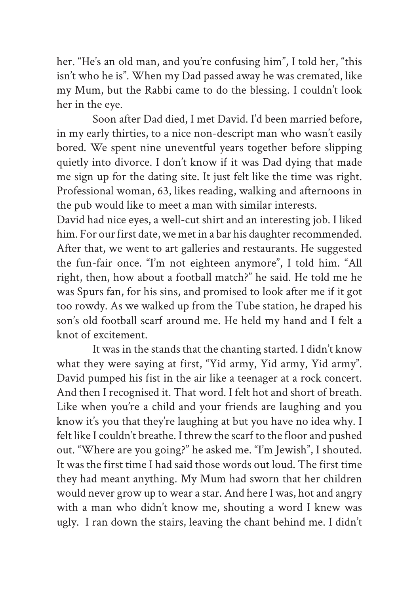her. "He's an old man, and you're confusing him", I told her, "this isn't who he is". When my Dad passed away he was cremated, like my Mum, but the Rabbi came to do the blessing. I couldn't look her in the eye.

Soon after Dad died, I met David. I'd been married before, in my early thirties, to a nice non-descript man who wasn't easily bored. We spent nine uneventful years together before slipping quietly into divorce. I don't know if it was Dad dying that made me sign up for the dating site. It just felt like the time was right. Professional woman, 63, likes reading, walking and afternoons in the pub would like to meet a man with similar interests.

David had nice eyes, a well-cut shirt and an interesting job. I liked him. For our first date, we met in a bar his daughter recommended. After that, we went to art galleries and restaurants. He suggested the fun-fair once. "I'm not eighteen anymore", I told him. "All right, then, how about a football match?" he said. He told me he was Spurs fan, for his sins, and promised to look after me if it got too rowdy. As we walked up from the Tube station, he draped his son's old football scarf around me. He held my hand and I felt a knot of excitement.

It was in the stands that the chanting started. I didn't know what they were saying at first, "Yid army, Yid army, Yid army". David pumped his fist in the air like a teenager at a rock concert. And then I recognised it. That word. I felt hot and short of breath. Like when you're a child and your friends are laughing and you know it's you that they're laughing at but you have no idea why. I felt like I couldn't breathe. I threw the scarf to the floor and pushed out. "Where are you going?" he asked me. "I'm Jewish", I shouted. It was the first time I had said those words out loud. The first time they had meant anything. My Mum had sworn that her children would never grow up to wear a star. And here I was, hot and angry with a man who didn't know me, shouting a word I knew was ugly. I ran down the stairs, leaving the chant behind me. I didn't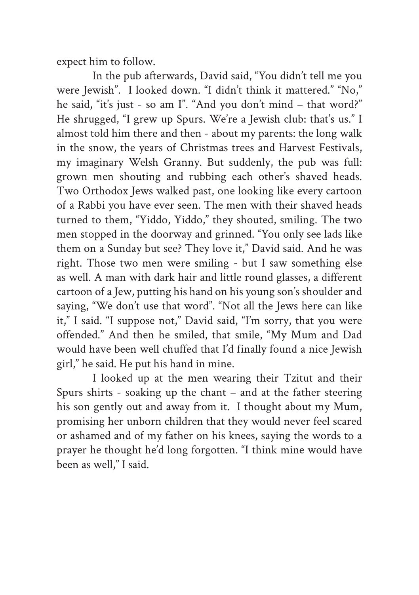expect him to follow.

In the pub afterwards, David said, "You didn't tell me you were Jewish". I looked down. "I didn't think it mattered." "No," he said, "it's just - so am I". "And you don't mind – that word?" He shrugged, "I grew up Spurs. We're a Jewish club: that's us." I almost told him there and then - about my parents: the long walk in the snow, the years of Christmas trees and Harvest Festivals, my imaginary Welsh Granny. But suddenly, the pub was full: grown men shouting and rubbing each other's shaved heads. Two Orthodox Jews walked past, one looking like every cartoon of a Rabbi you have ever seen. The men with their shaved heads turned to them, "Yiddo, Yiddo," they shouted, smiling. The two men stopped in the doorway and grinned. "You only see lads like them on a Sunday but see? They love it," David said. And he was right. Those two men were smiling - but I saw something else as well. A man with dark hair and little round glasses, a different cartoon of a Jew, putting his hand on his young son's shoulder and saying, "We don't use that word". "Not all the Jews here can like it," I said. "I suppose not," David said, "I'm sorry, that you were offended." And then he smiled, that smile, "My Mum and Dad would have been well chuffed that I'd finally found a nice Jewish girl," he said. He put his hand in mine.

I looked up at the men wearing their Tzitut and their Spurs shirts - soaking up the chant – and at the father steering his son gently out and away from it. I thought about my Mum, promising her unborn children that they would never feel scared or ashamed and of my father on his knees, saying the words to a prayer he thought he'd long forgotten. "I think mine would have been as well," I said.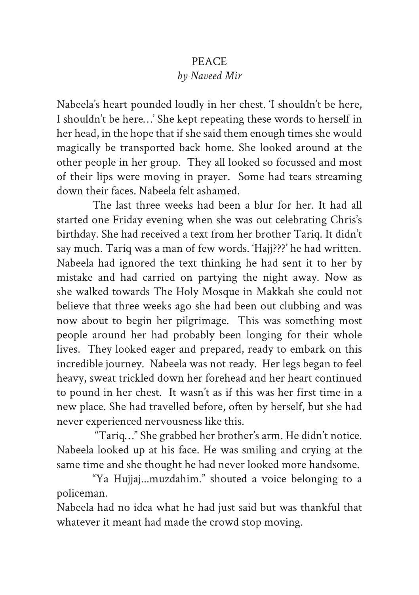# PEACE *by Naveed Mir*

Nabeela's heart pounded loudly in her chest. 'I shouldn't be here, I shouldn't be here…' She kept repeating these words to herself in her head, in the hope that if she said them enough times she would magically be transported back home. She looked around at the other people in her group. They all looked so focussed and most of their lips were moving in prayer. Some had tears streaming down their faces. Nabeela felt ashamed.

The last three weeks had been a blur for her. It had all started one Friday evening when she was out celebrating Chris's birthday. She had received a text from her brother Tariq. It didn't say much. Tariq was a man of few words. 'Hajj???' he had written. Nabeela had ignored the text thinking he had sent it to her by mistake and had carried on partying the night away. Now as she walked towards The Holy Mosque in Makkah she could not believe that three weeks ago she had been out clubbing and was now about to begin her pilgrimage. This was something most people around her had probably been longing for their whole lives. They looked eager and prepared, ready to embark on this incredible journey. Nabeela was not ready. Her legs began to feel heavy, sweat trickled down her forehead and her heart continued to pound in her chest. It wasn't as if this was her first time in a new place. She had travelled before, often by herself, but she had never experienced nervousness like this.

 "Tariq…" She grabbed her brother's arm. He didn't notice. Nabeela looked up at his face. He was smiling and crying at the same time and she thought he had never looked more handsome.

"Ya Hujjaj...muzdahim." shouted a voice belonging to a policeman.

Nabeela had no idea what he had just said but was thankful that whatever it meant had made the crowd stop moving.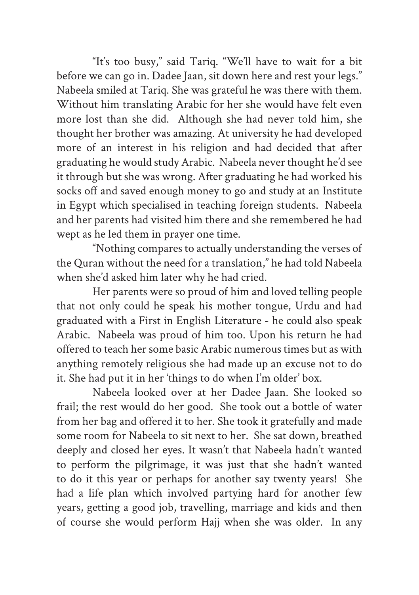"It's too busy," said Tariq. "We'll have to wait for a bit before we can go in. Dadee Jaan, sit down here and rest your legs." Nabeela smiled at Tariq. She was grateful he was there with them. Without him translating Arabic for her she would have felt even more lost than she did. Although she had never told him, she thought her brother was amazing. At university he had developed more of an interest in his religion and had decided that after graduating he would study Arabic. Nabeela never thought he'd see it through but she was wrong. After graduating he had worked his socks off and saved enough money to go and study at an Institute in Egypt which specialised in teaching foreign students. Nabeela and her parents had visited him there and she remembered he had wept as he led them in prayer one time.

"Nothing compares to actually understanding the verses of the Quran without the need for a translation," he had told Nabeela when she'd asked him later why he had cried.

Her parents were so proud of him and loved telling people that not only could he speak his mother tongue, Urdu and had graduated with a First in English Literature - he could also speak Arabic. Nabeela was proud of him too. Upon his return he had offered to teach her some basic Arabic numerous times but as with anything remotely religious she had made up an excuse not to do it. She had put it in her 'things to do when I'm older' box.

Nabeela looked over at her Dadee Jaan. She looked so frail; the rest would do her good. She took out a bottle of water from her bag and offered it to her. She took it gratefully and made some room for Nabeela to sit next to her. She sat down, breathed deeply and closed her eyes. It wasn't that Nabeela hadn't wanted to perform the pilgrimage, it was just that she hadn't wanted to do it this year or perhaps for another say twenty years! She had a life plan which involved partying hard for another few years, getting a good job, travelling, marriage and kids and then of course she would perform Hajj when she was older. In any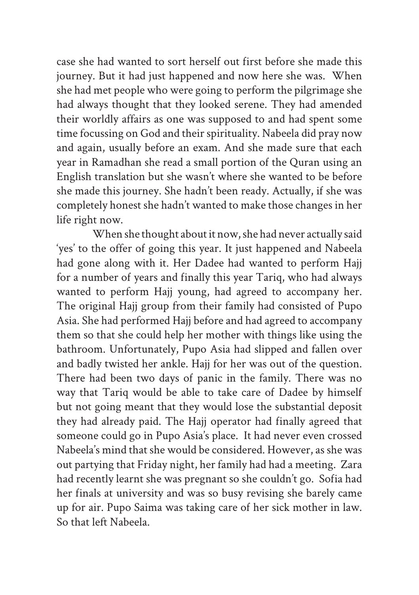case she had wanted to sort herself out first before she made this journey. But it had just happened and now here she was. When she had met people who were going to perform the pilgrimage she had always thought that they looked serene. They had amended their worldly affairs as one was supposed to and had spent some time focussing on God and their spirituality. Nabeela did pray now and again, usually before an exam. And she made sure that each year in Ramadhan she read a small portion of the Quran using an English translation but she wasn't where she wanted to be before she made this journey. She hadn't been ready. Actually, if she was completely honest she hadn't wanted to make those changes in her life right now.

When she thought about it now, she had never actually said 'yes' to the offer of going this year. It just happened and Nabeela had gone along with it. Her Dadee had wanted to perform Hajj for a number of years and finally this year Tariq, who had always wanted to perform Hajj young, had agreed to accompany her. The original Hajj group from their family had consisted of Pupo Asia. She had performed Hajj before and had agreed to accompany them so that she could help her mother with things like using the bathroom. Unfortunately, Pupo Asia had slipped and fallen over and badly twisted her ankle. Hajj for her was out of the question. There had been two days of panic in the family. There was no way that Tariq would be able to take care of Dadee by himself but not going meant that they would lose the substantial deposit they had already paid. The Hajj operator had finally agreed that someone could go in Pupo Asia's place. It had never even crossed Nabeela's mind that she would be considered. However, as she was out partying that Friday night, her family had had a meeting. Zara had recently learnt she was pregnant so she couldn't go. Sofia had her finals at university and was so busy revising she barely came up for air. Pupo Saima was taking care of her sick mother in law. So that left Nabeela.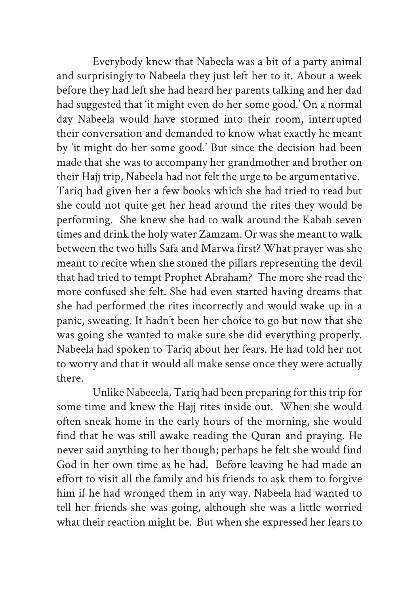Everybody knew that Nabeela was a bit of a party animal and surprisingly to Nabeela they just left her to it. About a week before they had left she had heard her parents talking and her dad had suggested that 'it might even do her some good.' On a normal day Nabeela would have stormed into their room, interrupted their conversation and demanded to know what exactly he meant by 'it might do her some good.' But since the decision had been made that she was to accompany her grandmother and brother on their Hajj trip, Nabeela had not felt the urge to be argumentative. Tariq had given her a few books which she had tried to read but she could not quite get her head around the rites they would be performing. She knew she had to walk around the Kabah seven times and drink the holy water Zamzam. Or was she meant to walk between the two hills Safa and Marwa first? What prayer was she meant to recite when she stoned the pillars representing the devil that had tried to tempt Prophet Abraham? The more she read the more confused she felt. She had even started having dreams that she had performed the rites incorrectly and would wake up in a panic, sweating. It hadn't been her choice to go but now that she was going she wanted to make sure she did everything properly. Nabeela had spoken to Tariq about her fears. He had told her not to worry and that it would all make sense once they were actually there.

Unlike Nabeeela, Tariq had been preparing for this trip for some time and knew the Hajj rites inside out. When she would often sneak home in the early hours of the morning, she would find that he was still awake reading the Quran and praying. He never said anything to her though; perhaps he felt she would find God in her own time as he had. Before leaving he had made an effort to visit all the family and his friends to ask them to forgive him if he had wronged them in any way. Nabeela had wanted to tell her friends she was going, although she was a little worried what their reaction might be. But when she expressed her fears to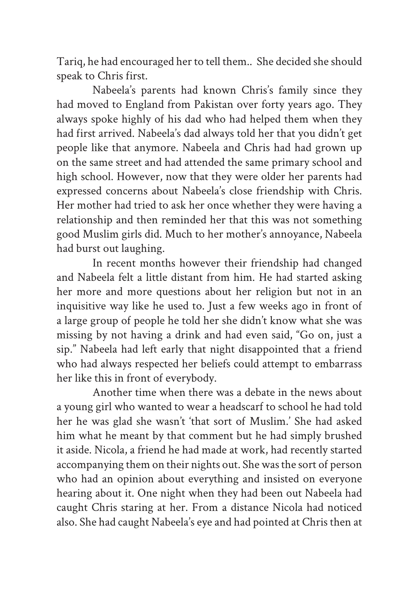Tariq, he had encouraged her to tell them.. She decided she should speak to Chris first.

Nabeela's parents had known Chris's family since they had moved to England from Pakistan over forty years ago. They always spoke highly of his dad who had helped them when they had first arrived. Nabeela's dad always told her that you didn't get people like that anymore. Nabeela and Chris had had grown up on the same street and had attended the same primary school and high school. However, now that they were older her parents had expressed concerns about Nabeela's close friendship with Chris. Her mother had tried to ask her once whether they were having a relationship and then reminded her that this was not something good Muslim girls did. Much to her mother's annoyance, Nabeela had burst out laughing.

In recent months however their friendship had changed and Nabeela felt a little distant from him. He had started asking her more and more questions about her religion but not in an inquisitive way like he used to. Just a few weeks ago in front of a large group of people he told her she didn't know what she was missing by not having a drink and had even said, "Go on, just a sip." Nabeela had left early that night disappointed that a friend who had always respected her beliefs could attempt to embarrass her like this in front of everybody.

Another time when there was a debate in the news about a young girl who wanted to wear a headscarf to school he had told her he was glad she wasn't 'that sort of Muslim.' She had asked him what he meant by that comment but he had simply brushed it aside. Nicola, a friend he had made at work, had recently started accompanying them on their nights out. She was the sort of person who had an opinion about everything and insisted on everyone hearing about it. One night when they had been out Nabeela had caught Chris staring at her. From a distance Nicola had noticed also. She had caught Nabeela's eye and had pointed at Chris then at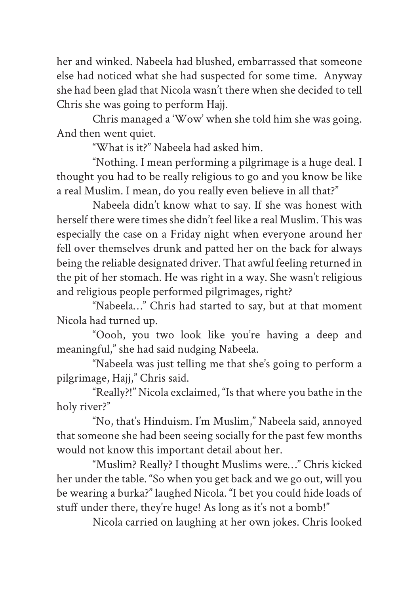her and winked. Nabeela had blushed, embarrassed that someone else had noticed what she had suspected for some time. Anyway she had been glad that Nicola wasn't there when she decided to tell Chris she was going to perform Hajj.

Chris managed a 'Wow' when she told him she was going. And then went quiet.

"What is it?" Nabeela had asked him.

"Nothing. I mean performing a pilgrimage is a huge deal. I thought you had to be really religious to go and you know be like a real Muslim. I mean, do you really even believe in all that?"

Nabeela didn't know what to say. If she was honest with herself there were times she didn't feel like a real Muslim. This was especially the case on a Friday night when everyone around her fell over themselves drunk and patted her on the back for always being the reliable designated driver. That awful feeling returned in the pit of her stomach. He was right in a way. She wasn't religious and religious people performed pilgrimages, right?

"Nabeela…" Chris had started to say, but at that moment Nicola had turned up.

"Oooh, you two look like you're having a deep and meaningful," she had said nudging Nabeela.

"Nabeela was just telling me that she's going to perform a pilgrimage, Hajj," Chris said.

"Really?!" Nicola exclaimed, "Is that where you bathe in the holy river?"

"No, that's Hinduism. I'm Muslim," Nabeela said, annoyed that someone she had been seeing socially for the past few months would not know this important detail about her.

"Muslim? Really? I thought Muslims were…" Chris kicked her under the table. "So when you get back and we go out, will you be wearing a burka?" laughed Nicola. "I bet you could hide loads of stuff under there, they're huge! As long as it's not a bomb!"

Nicola carried on laughing at her own jokes. Chris looked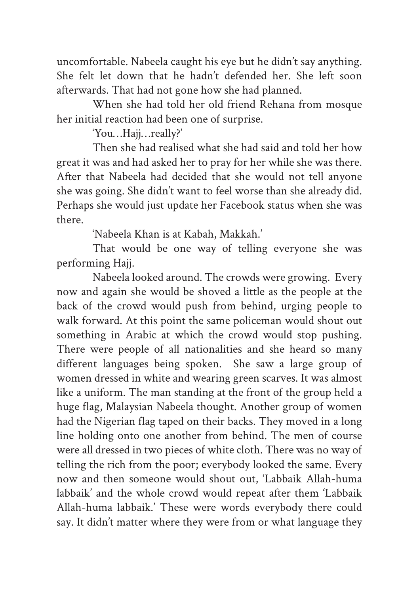uncomfortable. Nabeela caught his eye but he didn't say anything. She felt let down that he hadn't defended her. She left soon afterwards. That had not gone how she had planned.

When she had told her old friend Rehana from mosque her initial reaction had been one of surprise.

'You…Hajj…really?'

Then she had realised what she had said and told her how great it was and had asked her to pray for her while she was there. After that Nabeela had decided that she would not tell anyone she was going. She didn't want to feel worse than she already did. Perhaps she would just update her Facebook status when she was there.

'Nabeela Khan is at Kabah, Makkah.'

That would be one way of telling everyone she was performing Hajj.

Nabeela looked around. The crowds were growing. Every now and again she would be shoved a little as the people at the back of the crowd would push from behind, urging people to walk forward. At this point the same policeman would shout out something in Arabic at which the crowd would stop pushing. There were people of all nationalities and she heard so many different languages being spoken. She saw a large group of women dressed in white and wearing green scarves. It was almost like a uniform. The man standing at the front of the group held a huge flag, Malaysian Nabeela thought. Another group of women had the Nigerian flag taped on their backs. They moved in a long line holding onto one another from behind. The men of course were all dressed in two pieces of white cloth. There was no way of telling the rich from the poor; everybody looked the same. Every now and then someone would shout out, 'Labbaik Allah-huma labbaik' and the whole crowd would repeat after them 'Labbaik Allah-huma labbaik.' These were words everybody there could say. It didn't matter where they were from or what language they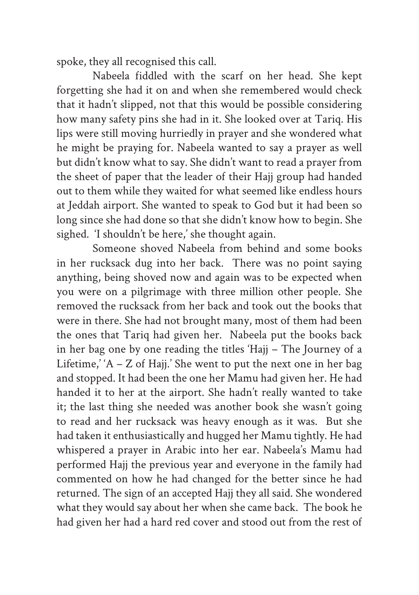spoke, they all recognised this call.

Nabeela fiddled with the scarf on her head. She kept forgetting she had it on and when she remembered would check that it hadn't slipped, not that this would be possible considering how many safety pins she had in it. She looked over at Tariq. His lips were still moving hurriedly in prayer and she wondered what he might be praying for. Nabeela wanted to say a prayer as well but didn't know what to say. She didn't want to read a prayer from the sheet of paper that the leader of their Hajj group had handed out to them while they waited for what seemed like endless hours at Jeddah airport. She wanted to speak to God but it had been so long since she had done so that she didn't know how to begin. She sighed. 'I shouldn't be here,' she thought again.

Someone shoved Nabeela from behind and some books in her rucksack dug into her back. There was no point saying anything, being shoved now and again was to be expected when you were on a pilgrimage with three million other people. She removed the rucksack from her back and took out the books that were in there. She had not brought many, most of them had been the ones that Tariq had given her. Nabeela put the books back in her bag one by one reading the titles 'Hajj – The Journey of a Lifetime,' 'A – Z of Hajj.' She went to put the next one in her bag and stopped. It had been the one her Mamu had given her. He had handed it to her at the airport. She hadn't really wanted to take it; the last thing she needed was another book she wasn't going to read and her rucksack was heavy enough as it was. But she had taken it enthusiastically and hugged her Mamu tightly. He had whispered a prayer in Arabic into her ear. Nabeela's Mamu had performed Hajj the previous year and everyone in the family had commented on how he had changed for the better since he had returned. The sign of an accepted Hajj they all said. She wondered what they would say about her when she came back. The book he had given her had a hard red cover and stood out from the rest of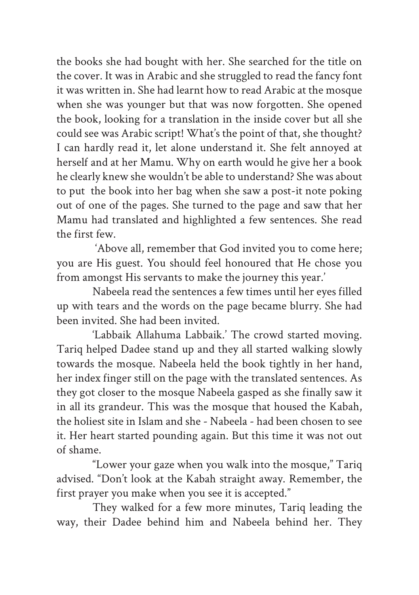the books she had bought with her. She searched for the title on the cover. It was in Arabic and she struggled to read the fancy font it was written in. She had learnt how to read Arabic at the mosque when she was younger but that was now forgotten. She opened the book, looking for a translation in the inside cover but all she could see was Arabic script! What's the point of that, she thought? I can hardly read it, let alone understand it. She felt annoyed at herself and at her Mamu. Why on earth would he give her a book he clearly knew she wouldn't be able to understand? She was about to put the book into her bag when she saw a post-it note poking out of one of the pages. She turned to the page and saw that her Mamu had translated and highlighted a few sentences. She read the first few.

 'Above all, remember that God invited you to come here; you are His guest. You should feel honoured that He chose you from amongst His servants to make the journey this year.'

Nabeela read the sentences a few times until her eyes filled up with tears and the words on the page became blurry. She had been invited. She had been invited.

'Labbaik Allahuma Labbaik.' The crowd started moving. Tariq helped Dadee stand up and they all started walking slowly towards the mosque. Nabeela held the book tightly in her hand, her index finger still on the page with the translated sentences. As they got closer to the mosque Nabeela gasped as she finally saw it in all its grandeur. This was the mosque that housed the Kabah, the holiest site in Islam and she - Nabeela - had been chosen to see it. Her heart started pounding again. But this time it was not out of shame.

"Lower your gaze when you walk into the mosque," Tariq advised. "Don't look at the Kabah straight away. Remember, the first prayer you make when you see it is accepted."

They walked for a few more minutes, Tariq leading the way, their Dadee behind him and Nabeela behind her. They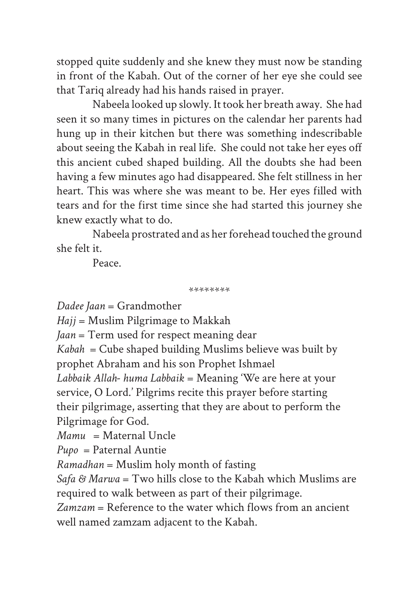stopped quite suddenly and she knew they must now be standing in front of the Kabah. Out of the corner of her eye she could see that Tariq already had his hands raised in prayer.

Nabeela looked up slowly. It took her breath away. She had seen it so many times in pictures on the calendar her parents had hung up in their kitchen but there was something indescribable about seeing the Kabah in real life. She could not take her eyes off this ancient cubed shaped building. All the doubts she had been having a few minutes ago had disappeared. She felt stillness in her heart. This was where she was meant to be. Her eyes filled with tears and for the first time since she had started this journey she knew exactly what to do.

Nabeela prostrated and as her forehead touched the ground she felt it.

Peace.

\*\*\*\*\*\*\*\*

*Dadee Jaan* = Grandmother

*Hajj* = Muslim Pilgrimage to Makkah

*Jaan* = Term used for respect meaning dear

*Kabah* = Cube shaped building Muslims believe was built by prophet Abraham and his son Prophet Ishmael

*Labbaik Allah- huma Labbaik* = Meaning 'We are here at your service, O Lord.' Pilgrims recite this prayer before starting their pilgrimage, asserting that they are about to perform the Pilgrimage for God.

*Mamu* = Maternal Uncle

*Pupo* = Paternal Auntie

*Ramadhan* = Muslim holy month of fasting

*Safa & Marwa* = Two hills close to the Kabah which Muslims are required to walk between as part of their pilgrimage.

*Zamzam* = Reference to the water which flows from an ancient well named zamzam adjacent to the Kabah.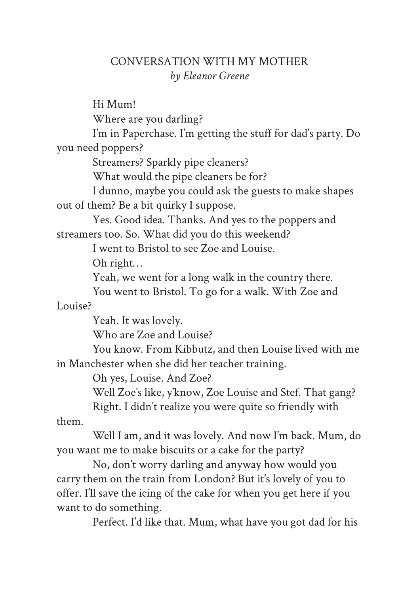## CONVERSATION WITH MY MOTHER *by Eleanor Greene*

Hi Mum! Where are you darling? I'm in Paperchase. I'm getting the stuff for dad's party. Do you need poppers? Streamers? Sparkly pipe cleaners? What would the pipe cleaners be for? I dunno, maybe you could ask the guests to make shapes out of them? Be a bit quirky I suppose. Yes. Good idea. Thanks. And yes to the poppers and streamers too. So. What did you do this weekend? I went to Bristol to see Zoe and Louise. Oh right… Yeah, we went for a long walk in the country there. You went to Bristol. To go for a walk. With Zoe and Louise? Yeah. It was lovely. Who are Zoe and Louise? You know. From Kibbutz, and then Louise lived with me in Manchester when she did her teacher training. Oh yes, Louise. And Zoe? Well Zoe's like, y'know, Zoe Louise and Stef. That gang? Right. I didn't realize you were quite so friendly with them. Well I am, and it was lovely. And now I'm back. Mum, do you want me to make biscuits or a cake for the party? No, don't worry darling and anyway how would you carry them on the train from London? But it's lovely of you to offer. I'll save the icing of the cake for when you get here if you

want to do something.

Perfect. I'd like that. Mum, what have you got dad for his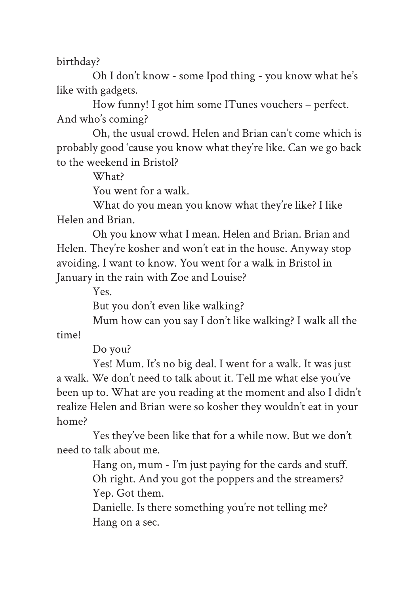birthday?

Oh I don't know - some Ipod thing - you know what he's like with gadgets.

How funny! I got him some ITunes vouchers – perfect. And who's coming?

Oh, the usual crowd. Helen and Brian can't come which is probably good 'cause you know what they're like. Can we go back to the weekend in Bristol?

What?

You went for a walk.

What do you mean you know what they're like? I like Helen and Brian.

Oh you know what I mean. Helen and Brian. Brian and Helen. They're kosher and won't eat in the house. Anyway stop avoiding. I want to know. You went for a walk in Bristol in January in the rain with Zoe and Louise?

Yes.

But you don't even like walking?

Mum how can you say I don't like walking? I walk all the time!

Do you?

Yes! Mum. It's no big deal. I went for a walk. It was just a walk. We don't need to talk about it. Tell me what else you've been up to. What are you reading at the moment and also I didn't realize Helen and Brian were so kosher they wouldn't eat in your home?

Yes they've been like that for a while now. But we don't need to talk about me.

> Hang on, mum - I'm just paying for the cards and stuff. Oh right. And you got the poppers and the streamers? Yep. Got them.

Danielle. Is there something you're not telling me? Hang on a sec.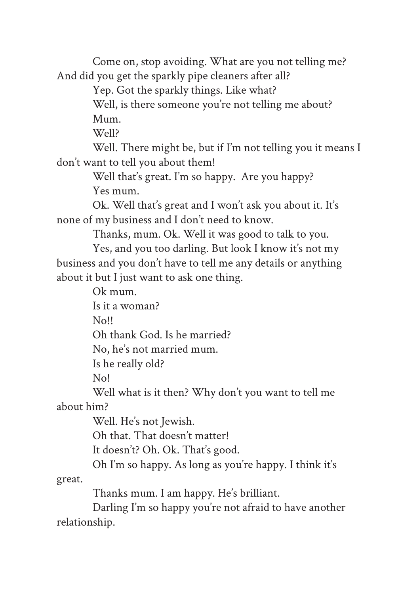Come on, stop avoiding. What are you not telling me? And did you get the sparkly pipe cleaners after all?

Yep. Got the sparkly things. Like what?

Well, is there someone you're not telling me about? Mum.

Well?

Well. There might be, but if I'm not telling you it means I don't want to tell you about them!

> Well that's great. I'm so happy. Are you happy? Yes mum.

Ok. Well that's great and I won't ask you about it. It's none of my business and I don't need to know.

Thanks, mum. Ok. Well it was good to talk to you.

Yes, and you too darling. But look I know it's not my business and you don't have to tell me any details or anything about it but I just want to ask one thing.

Ok mum.

Is it a woman?

No!!

Oh thank God. Is he married?

No, he's not married mum.

Is he really old?

No!

Well what is it then? Why don't you want to tell me about him?

Well. He's not Jewish.

Oh that. That doesn't matter!

It doesn't? Oh. Ok. That's good.

Oh I'm so happy. As long as you're happy. I think it's

great.

Thanks mum. I am happy. He's brilliant.

Darling I'm so happy you're not afraid to have another relationship.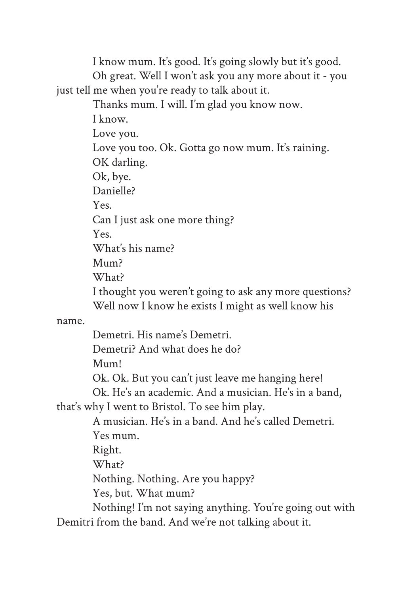I know mum. It's good. It's going slowly but it's good. Oh great. Well I won't ask you any more about it - you just tell me when you're ready to talk about it.

Thanks mum. I will. I'm glad you know now.

I know. Love you. Love you too. Ok. Gotta go now mum. It's raining. OK darling. Ok, bye. Danielle? Yes. Can I just ask one more thing?  $V_{\text{pc}}$ What's his name? Mum?

What?

I thought you weren't going to ask any more questions? Well now I know he exists I might as well know his

name.

Demetri. His name's Demetri.

Demetri? And what does he do?

Mum!

Ok. Ok. But you can't just leave me hanging here!

Ok. He's an academic. And a musician. He's in a band,

that's why I went to Bristol. To see him play.

A musician. He's in a band. And he's called Demetri. Yes mum.

Right.

What?

Nothing. Nothing. Are you happy?

Yes, but. What mum?

Nothing! I'm not saying anything. You're going out with Demitri from the band. And we're not talking about it.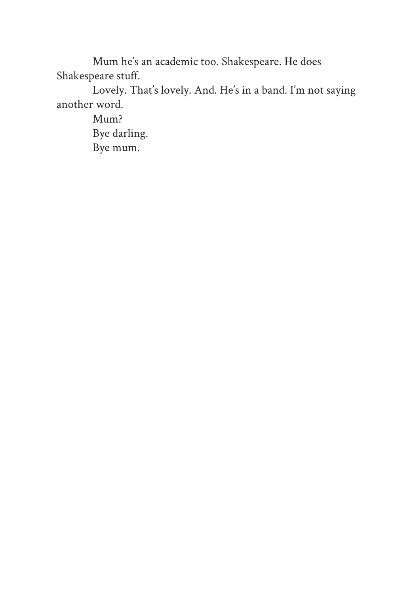Mum he's an academic too. Shakespeare. He does Shakespeare stuff.

Lovely. That's lovely. And. He's in a band. I'm not saying another word.

> Mum? Bye darling. Bye mum.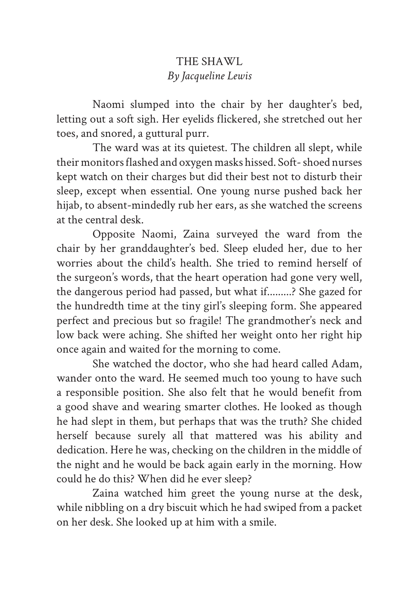## THE SHAWL *By Jacqueline Lewis*

Naomi slumped into the chair by her daughter's bed, letting out a soft sigh. Her eyelids flickered, she stretched out her toes, and snored, a guttural purr.

The ward was at its quietest. The children all slept, while their monitors flashed and oxygen masks hissed. Soft- shoed nurses kept watch on their charges but did their best not to disturb their sleep, except when essential. One young nurse pushed back her hijab, to absent-mindedly rub her ears, as she watched the screens at the central desk.

Opposite Naomi, Zaina surveyed the ward from the chair by her granddaughter's bed. Sleep eluded her, due to her worries about the child's health. She tried to remind herself of the surgeon's words, that the heart operation had gone very well, the dangerous period had passed, but what if.........? She gazed for the hundredth time at the tiny girl's sleeping form. She appeared perfect and precious but so fragile! The grandmother's neck and low back were aching. She shifted her weight onto her right hip once again and waited for the morning to come.

She watched the doctor, who she had heard called Adam, wander onto the ward. He seemed much too young to have such a responsible position. She also felt that he would benefit from a good shave and wearing smarter clothes. He looked as though he had slept in them, but perhaps that was the truth? She chided herself because surely all that mattered was his ability and dedication. Here he was, checking on the children in the middle of the night and he would be back again early in the morning. How could he do this? When did he ever sleep?

Zaina watched him greet the young nurse at the desk, while nibbling on a dry biscuit which he had swiped from a packet on her desk. She looked up at him with a smile.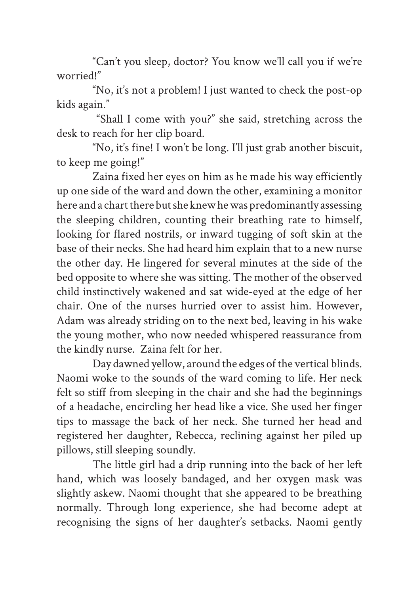"Can't you sleep, doctor? You know we'll call you if we're worried!"

"No, it's not a problem! I just wanted to check the post-op kids again."

 "Shall I come with you?" she said, stretching across the desk to reach for her clip board.

"No, it's fine! I won't be long. I'll just grab another biscuit, to keep me going!"

Zaina fixed her eyes on him as he made his way efficiently up one side of the ward and down the other, examining a monitor here and a chart there but she knew he was predominantly assessing the sleeping children, counting their breathing rate to himself, looking for flared nostrils, or inward tugging of soft skin at the base of their necks. She had heard him explain that to a new nurse the other day. He lingered for several minutes at the side of the bed opposite to where she was sitting. The mother of the observed child instinctively wakened and sat wide-eyed at the edge of her chair. One of the nurses hurried over to assist him. However, Adam was already striding on to the next bed, leaving in his wake the young mother, who now needed whispered reassurance from the kindly nurse. Zaina felt for her.

Day dawned yellow, around the edges of the vertical blinds. Naomi woke to the sounds of the ward coming to life. Her neck felt so stiff from sleeping in the chair and she had the beginnings of a headache, encircling her head like a vice. She used her finger tips to massage the back of her neck. She turned her head and registered her daughter, Rebecca, reclining against her piled up pillows, still sleeping soundly.

The little girl had a drip running into the back of her left hand, which was loosely bandaged, and her oxygen mask was slightly askew. Naomi thought that she appeared to be breathing normally. Through long experience, she had become adept at recognising the signs of her daughter's setbacks. Naomi gently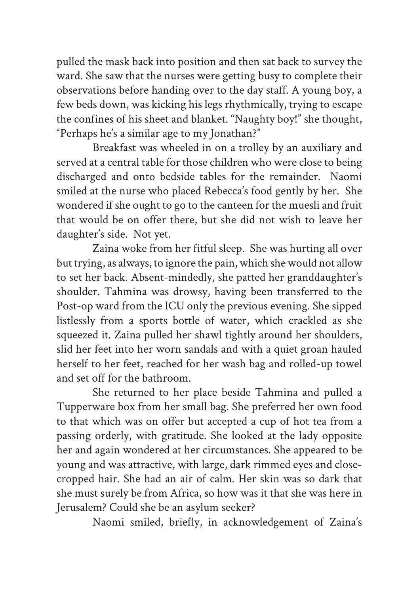pulled the mask back into position and then sat back to survey the ward. She saw that the nurses were getting busy to complete their observations before handing over to the day staff. A young boy, a few beds down, was kicking his legs rhythmically, trying to escape the confines of his sheet and blanket. "Naughty boy!" she thought, "Perhaps he's a similar age to my Jonathan?"

Breakfast was wheeled in on a trolley by an auxiliary and served at a central table for those children who were close to being discharged and onto bedside tables for the remainder. Naomi smiled at the nurse who placed Rebecca's food gently by her. She wondered if she ought to go to the canteen for the muesli and fruit that would be on offer there, but she did not wish to leave her daughter's side. Not yet.

Zaina woke from her fitful sleep. She was hurting all over but trying, as always, to ignore the pain, which she would not allow to set her back. Absent-mindedly, she patted her granddaughter's shoulder. Tahmina was drowsy, having been transferred to the Post-op ward from the ICU only the previous evening. She sipped listlessly from a sports bottle of water, which crackled as she squeezed it. Zaina pulled her shawl tightly around her shoulders, slid her feet into her worn sandals and with a quiet groan hauled herself to her feet, reached for her wash bag and rolled-up towel and set off for the bathroom.

She returned to her place beside Tahmina and pulled a Tupperware box from her small bag. She preferred her own food to that which was on offer but accepted a cup of hot tea from a passing orderly, with gratitude. She looked at the lady opposite her and again wondered at her circumstances. She appeared to be young and was attractive, with large, dark rimmed eyes and closecropped hair. She had an air of calm. Her skin was so dark that she must surely be from Africa, so how was it that she was here in Jerusalem? Could she be an asylum seeker?

Naomi smiled, briefly, in acknowledgement of Zaina's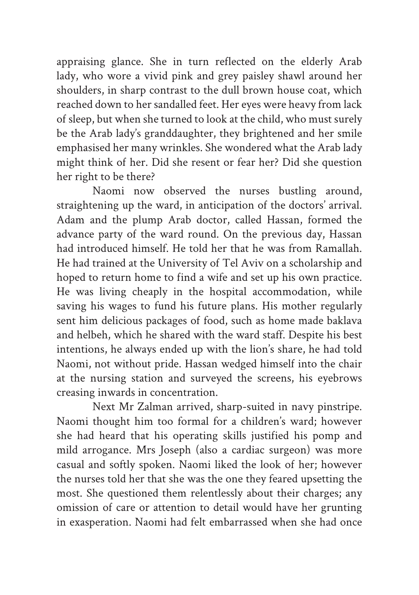appraising glance. She in turn reflected on the elderly Arab lady, who wore a vivid pink and grey paisley shawl around her shoulders, in sharp contrast to the dull brown house coat, which reached down to her sandalled feet. Her eyes were heavy from lack of sleep, but when she turned to look at the child, who must surely be the Arab lady's granddaughter, they brightened and her smile emphasised her many wrinkles. She wondered what the Arab lady might think of her. Did she resent or fear her? Did she question her right to be there?

Naomi now observed the nurses bustling around, straightening up the ward, in anticipation of the doctors' arrival. Adam and the plump Arab doctor, called Hassan, formed the advance party of the ward round. On the previous day, Hassan had introduced himself. He told her that he was from Ramallah. He had trained at the University of Tel Aviv on a scholarship and hoped to return home to find a wife and set up his own practice. He was living cheaply in the hospital accommodation, while saving his wages to fund his future plans. His mother regularly sent him delicious packages of food, such as home made baklava and helbeh, which he shared with the ward staff. Despite his best intentions, he always ended up with the lion's share, he had told Naomi, not without pride. Hassan wedged himself into the chair at the nursing station and surveyed the screens, his eyebrows creasing inwards in concentration.

Next Mr Zalman arrived, sharp-suited in navy pinstripe. Naomi thought him too formal for a children's ward; however she had heard that his operating skills justified his pomp and mild arrogance. Mrs Joseph (also a cardiac surgeon) was more casual and softly spoken. Naomi liked the look of her; however the nurses told her that she was the one they feared upsetting the most. She questioned them relentlessly about their charges; any omission of care or attention to detail would have her grunting in exasperation. Naomi had felt embarrassed when she had once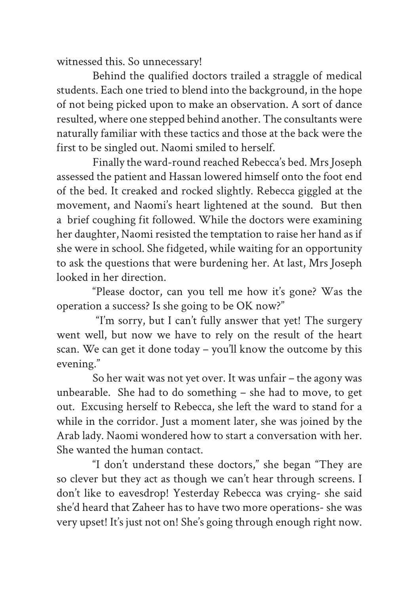witnessed this. So unnecessary!

Behind the qualified doctors trailed a straggle of medical students. Each one tried to blend into the background, in the hope of not being picked upon to make an observation. A sort of dance resulted, where one stepped behind another. The consultants were naturally familiar with these tactics and those at the back were the first to be singled out. Naomi smiled to herself.

Finally the ward-round reached Rebecca's bed. Mrs Joseph assessed the patient and Hassan lowered himself onto the foot end of the bed. It creaked and rocked slightly. Rebecca giggled at the movement, and Naomi's heart lightened at the sound. But then a brief coughing fit followed. While the doctors were examining her daughter, Naomi resisted the temptation to raise her hand as if she were in school. She fidgeted, while waiting for an opportunity to ask the questions that were burdening her. At last, Mrs Joseph looked in her direction.

"Please doctor, can you tell me how it's gone? Was the operation a success? Is she going to be OK now?"

 "I'm sorry, but I can't fully answer that yet! The surgery went well, but now we have to rely on the result of the heart scan. We can get it done today – you'll know the outcome by this evening."

So her wait was not yet over. It was unfair – the agony was unbearable. She had to do something – she had to move, to get out. Excusing herself to Rebecca, she left the ward to stand for a while in the corridor. Just a moment later, she was joined by the Arab lady. Naomi wondered how to start a conversation with her. She wanted the human contact.

"I don't understand these doctors," she began "They are so clever but they act as though we can't hear through screens. I don't like to eavesdrop! Yesterday Rebecca was crying- she said she'd heard that Zaheer has to have two more operations- she was very upset! It's just not on! She's going through enough right now.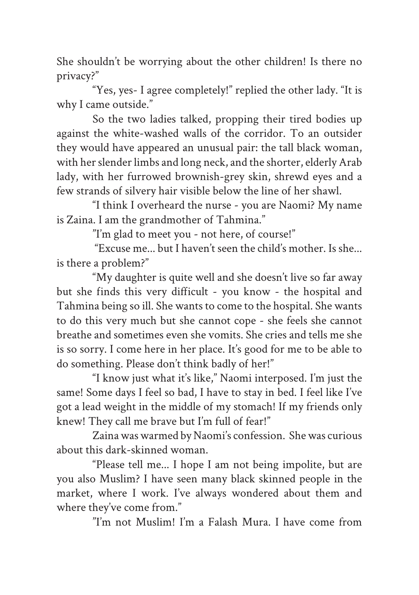She shouldn't be worrying about the other children! Is there no privacy?"

"Yes, yes- I agree completely!" replied the other lady. "It is why I came outside."

So the two ladies talked, propping their tired bodies up against the white-washed walls of the corridor. To an outsider they would have appeared an unusual pair: the tall black woman, with her slender limbs and long neck, and the shorter, elderly Arab lady, with her furrowed brownish-grey skin, shrewd eyes and a few strands of silvery hair visible below the line of her shawl.

"I think I overheard the nurse - you are Naomi? My name is Zaina. I am the grandmother of Tahmina."

"I'm glad to meet you - not here, of course!"

 "Excuse me... but I haven't seen the child's mother. Is she... is there a problem?"

"My daughter is quite well and she doesn't live so far away but she finds this very difficult - you know - the hospital and Tahmina being so ill. She wants to come to the hospital. She wants to do this very much but she cannot cope - she feels she cannot breathe and sometimes even she vomits. She cries and tells me she is so sorry. I come here in her place. It's good for me to be able to do something. Please don't think badly of her!"

"I know just what it's like," Naomi interposed. I'm just the same! Some days I feel so bad, I have to stay in bed. I feel like I've got a lead weight in the middle of my stomach! If my friends only knew! They call me brave but I'm full of fear!"

Zaina was warmed by Naomi's confession. She was curious about this dark-skinned woman.

"Please tell me... I hope I am not being impolite, but are you also Muslim? I have seen many black skinned people in the market, where I work. I've always wondered about them and where they've come from."

"I'm not Muslim! I'm a Falash Mura. I have come from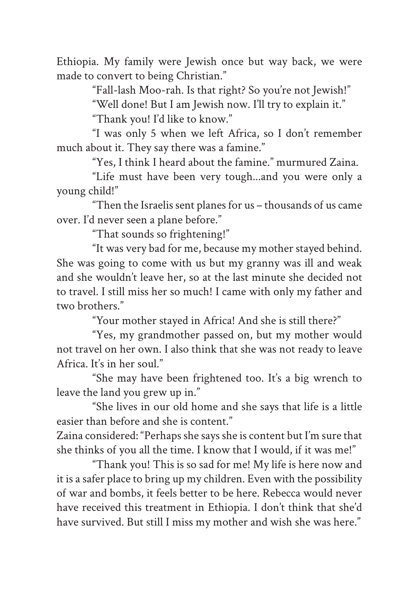Ethiopia. My family were Jewish once but way back, we were made to convert to being Christian."

"Fall-lash Moo-rah. Is that right? So you're not Jewish!"

"Well done! But I am Jewish now. I'll try to explain it."

"Thank you! I'd like to know."

"I was only 5 when we left Africa, so I don't remember much about it. They say there was a famine."

"Yes, I think I heard about the famine." murmured Zaina.

"Life must have been very tough...and you were only a young child!"

"Then the Israelis sent planes for us – thousands of us came over. I'd never seen a plane before."

"That sounds so frightening!"

"It was very bad for me, because my mother stayed behind. She was going to come with us but my granny was ill and weak and she wouldn't leave her, so at the last minute she decided not to travel. I still miss her so much! I came with only my father and two brothers."

"Your mother stayed in Africa! And she is still there?"

"Yes, my grandmother passed on, but my mother would not travel on her own. I also think that she was not ready to leave Africa. It's in her soul."

"She may have been frightened too. It's a big wrench to leave the land you grew up in."

"She lives in our old home and she says that life is a little easier than before and she is content."

Zaina considered: "Perhaps she says she is content but I'm sure that she thinks of you all the time. I know that I would, if it was me!"

"Thank you! This is so sad for me! My life is here now and it is a safer place to bring up my children. Even with the possibility of war and bombs, it feels better to be here. Rebecca would never have received this treatment in Ethiopia. I don't think that she'd have survived. But still I miss my mother and wish she was here."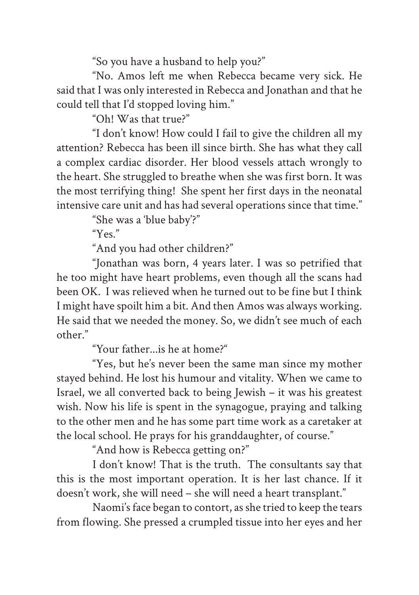"So you have a husband to help you?"

"No. Amos left me when Rebecca became very sick. He said that I was only interested in Rebecca and Jonathan and that he could tell that I'd stopped loving him."

"Oh! Was that true?"

"I don't know! How could I fail to give the children all my attention? Rebecca has been ill since birth. She has what they call a complex cardiac disorder. Her blood vessels attach wrongly to the heart. She struggled to breathe when she was first born. It was the most terrifying thing! She spent her first days in the neonatal intensive care unit and has had several operations since that time."

"She was a 'blue baby'?"

" $Y_{\text{PS}}$ "

"And you had other children?"

"Jonathan was born, 4 years later. I was so petrified that he too might have heart problems, even though all the scans had been OK. I was relieved when he turned out to be fine but I think I might have spoilt him a bit. And then Amos was always working. He said that we needed the money. So, we didn't see much of each other."

"Your father...is he at home?"

"Yes, but he's never been the same man since my mother stayed behind. He lost his humour and vitality. When we came to Israel, we all converted back to being Jewish – it was his greatest wish. Now his life is spent in the synagogue, praying and talking to the other men and he has some part time work as a caretaker at the local school. He prays for his granddaughter, of course."

"And how is Rebecca getting on?"

I don't know! That is the truth. The consultants say that this is the most important operation. It is her last chance. If it doesn't work, she will need – she will need a heart transplant."

Naomi's face began to contort, as she tried to keep the tears from flowing. She pressed a crumpled tissue into her eyes and her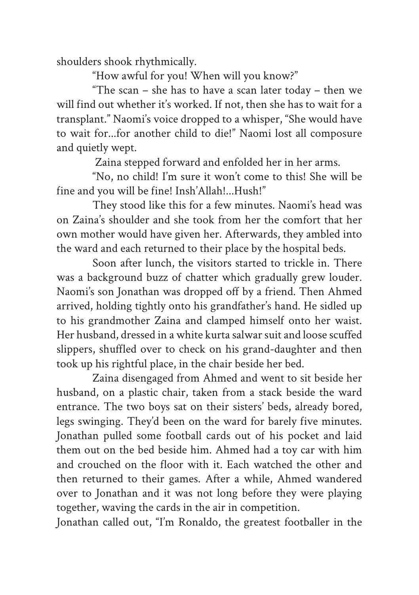shoulders shook rhythmically.

"How awful for you! When will you know?"

"The scan – she has to have a scan later today – then we will find out whether it's worked. If not, then she has to wait for a transplant." Naomi's voice dropped to a whisper, "She would have to wait for...for another child to die!" Naomi lost all composure and quietly wept.

Zaina stepped forward and enfolded her in her arms.

"No, no child! I'm sure it won't come to this! She will be fine and you will be fine! Insh'Allah!...Hush!"

They stood like this for a few minutes. Naomi's head was on Zaina's shoulder and she took from her the comfort that her own mother would have given her. Afterwards, they ambled into the ward and each returned to their place by the hospital beds.

Soon after lunch, the visitors started to trickle in. There was a background buzz of chatter which gradually grew louder. Naomi's son Jonathan was dropped off by a friend. Then Ahmed arrived, holding tightly onto his grandfather's hand. He sidled up to his grandmother Zaina and clamped himself onto her waist. Her husband, dressed in a white kurta salwar suit and loose scuffed slippers, shuffled over to check on his grand-daughter and then took up his rightful place, in the chair beside her bed.

Zaina disengaged from Ahmed and went to sit beside her husband, on a plastic chair, taken from a stack beside the ward entrance. The two boys sat on their sisters' beds, already bored, legs swinging. They'd been on the ward for barely five minutes. Jonathan pulled some football cards out of his pocket and laid them out on the bed beside him. Ahmed had a toy car with him and crouched on the floor with it. Each watched the other and then returned to their games. After a while, Ahmed wandered over to Jonathan and it was not long before they were playing together, waving the cards in the air in competition.

Jonathan called out, "I'm Ronaldo, the greatest footballer in the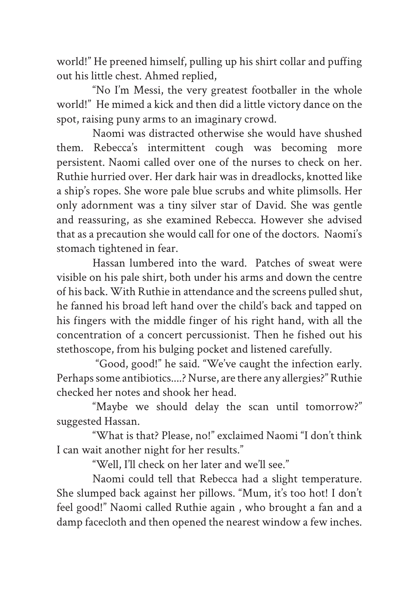world!" He preened himself, pulling up his shirt collar and puffing out his little chest. Ahmed replied,

"No I'm Messi, the very greatest footballer in the whole world!" He mimed a kick and then did a little victory dance on the spot, raising puny arms to an imaginary crowd.

Naomi was distracted otherwise she would have shushed them. Rebecca's intermittent cough was becoming more persistent. Naomi called over one of the nurses to check on her. Ruthie hurried over. Her dark hair was in dreadlocks, knotted like a ship's ropes. She wore pale blue scrubs and white plimsolls. Her only adornment was a tiny silver star of David. She was gentle and reassuring, as she examined Rebecca. However she advised that as a precaution she would call for one of the doctors. Naomi's stomach tightened in fear.

Hassan lumbered into the ward. Patches of sweat were visible on his pale shirt, both under his arms and down the centre of his back. With Ruthie in attendance and the screens pulled shut, he fanned his broad left hand over the child's back and tapped on his fingers with the middle finger of his right hand, with all the concentration of a concert percussionist. Then he fished out his stethoscope, from his bulging pocket and listened carefully.

 "Good, good!" he said. "We've caught the infection early. Perhaps some antibiotics....? Nurse, are there any allergies?" Ruthie checked her notes and shook her head.

"Maybe we should delay the scan until tomorrow?" suggested Hassan.

"What is that? Please, no!" exclaimed Naomi "I don't think I can wait another night for her results."

"Well, I'll check on her later and we'll see."

Naomi could tell that Rebecca had a slight temperature. She slumped back against her pillows. "Mum, it's too hot! I don't feel good!" Naomi called Ruthie again , who brought a fan and a damp facecloth and then opened the nearest window a few inches.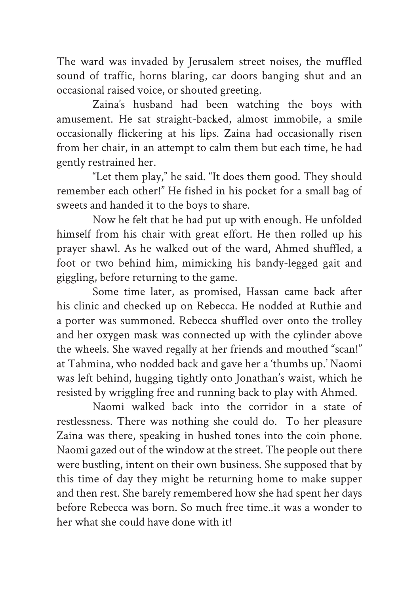The ward was invaded by Jerusalem street noises, the muffled sound of traffic, horns blaring, car doors banging shut and an occasional raised voice, or shouted greeting.

Zaina's husband had been watching the boys with amusement. He sat straight-backed, almost immobile, a smile occasionally flickering at his lips. Zaina had occasionally risen from her chair, in an attempt to calm them but each time, he had gently restrained her.

"Let them play," he said. "It does them good. They should remember each other!" He fished in his pocket for a small bag of sweets and handed it to the boys to share.

Now he felt that he had put up with enough. He unfolded himself from his chair with great effort. He then rolled up his prayer shawl. As he walked out of the ward, Ahmed shuffled, a foot or two behind him, mimicking his bandy-legged gait and giggling, before returning to the game.

Some time later, as promised, Hassan came back after his clinic and checked up on Rebecca. He nodded at Ruthie and a porter was summoned. Rebecca shuffled over onto the trolley and her oxygen mask was connected up with the cylinder above the wheels. She waved regally at her friends and mouthed "scan!" at Tahmina, who nodded back and gave her a 'thumbs up.' Naomi was left behind, hugging tightly onto Jonathan's waist, which he resisted by wriggling free and running back to play with Ahmed.

Naomi walked back into the corridor in a state of restlessness. There was nothing she could do. To her pleasure Zaina was there, speaking in hushed tones into the coin phone. Naomi gazed out of the window at the street. The people out there were bustling, intent on their own business. She supposed that by this time of day they might be returning home to make supper and then rest. She barely remembered how she had spent her days before Rebecca was born. So much free time, it was a wonder to her what she could have done with it!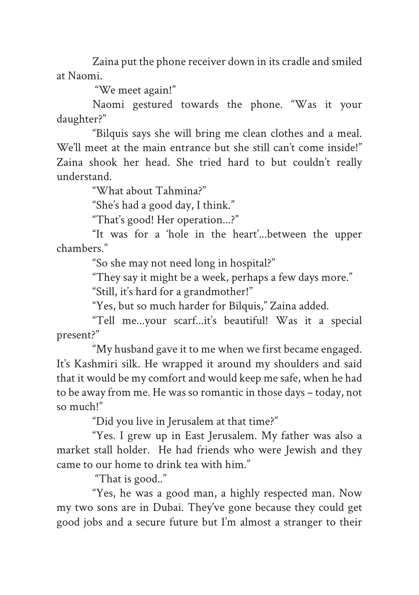Zaina put the phone receiver down in its cradle and smiled at Naomi.

"We meet again!"

Naomi gestured towards the phone. "Was it your daughter?"

"Bilquis says she will bring me clean clothes and a meal. We'll meet at the main entrance but she still can't come inside!" Zaina shook her head. She tried hard to but couldn't really understand.

"What about Tahmina?"

"She's had a good day, I think."

"That's good! Her operation...?"

"It was for a 'hole in the heart'...between the upper chambers."

"So she may not need long in hospital?"

"They say it might be a week, perhaps a few days more."

"Still, it's hard for a grandmother!"

"Yes, but so much harder for Bilquis," Zaina added.

"Tell me...your scarf...it's beautiful! Was it a special present?"

"My husband gave it to me when we first became engaged. It's Kashmiri silk. He wrapped it around my shoulders and said that it would be my comfort and would keep me safe, when he had to be away from me. He was so romantic in those days – today, not so much!"

"Did you live in Jerusalem at that time?"

"Yes. I grew up in East Jerusalem. My father was also a market stall holder. He had friends who were Jewish and they came to our home to drink tea with him."

"That is good.."

"Yes, he was a good man, a highly respected man. Now my two sons are in Dubai. They've gone because they could get good jobs and a secure future but I'm almost a stranger to their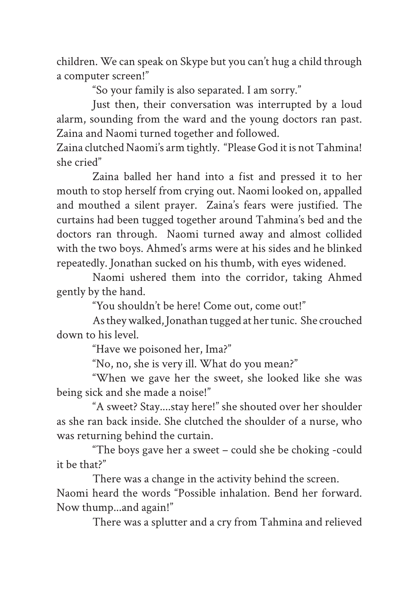children. We can speak on Skype but you can't hug a child through a computer screen!"

"So your family is also separated. I am sorry."

Just then, their conversation was interrupted by a loud alarm, sounding from the ward and the young doctors ran past. Zaina and Naomi turned together and followed.

Zaina clutched Naomi's arm tightly. "Please God it is not Tahmina! she cried"

Zaina balled her hand into a fist and pressed it to her mouth to stop herself from crying out. Naomi looked on, appalled and mouthed a silent prayer. Zaina's fears were justified. The curtains had been tugged together around Tahmina's bed and the doctors ran through. Naomi turned away and almost collided with the two boys. Ahmed's arms were at his sides and he blinked repeatedly. Jonathan sucked on his thumb, with eyes widened.

Naomi ushered them into the corridor, taking Ahmed gently by the hand.

"You shouldn't be here! Come out, come out!"

As they walked, Jonathan tugged at her tunic. She crouched down to his level.

"Have we poisoned her, Ima?"

"No, no, she is very ill. What do you mean?"

"When we gave her the sweet, she looked like she was being sick and she made a noise!"

"A sweet? Stay....stay here!" she shouted over her shoulder as she ran back inside. She clutched the shoulder of a nurse, who was returning behind the curtain.

"The boys gave her a sweet – could she be choking -could it be that?"

There was a change in the activity behind the screen. Naomi heard the words "Possible inhalation. Bend her forward. Now thump...and again!"

There was a splutter and a cry from Tahmina and relieved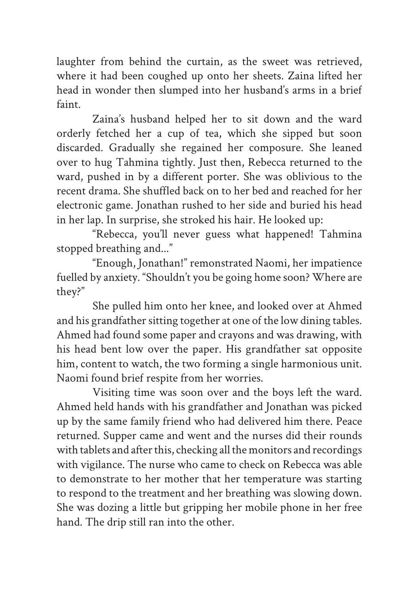laughter from behind the curtain, as the sweet was retrieved, where it had been coughed up onto her sheets. Zaina lifted her head in wonder then slumped into her husband's arms in a brief faint.

Zaina's husband helped her to sit down and the ward orderly fetched her a cup of tea, which she sipped but soon discarded. Gradually she regained her composure. She leaned over to hug Tahmina tightly. Just then, Rebecca returned to the ward, pushed in by a different porter. She was oblivious to the recent drama. She shuffled back on to her bed and reached for her electronic game. Jonathan rushed to her side and buried his head in her lap. In surprise, she stroked his hair. He looked up:

"Rebecca, you'll never guess what happened! Tahmina stopped breathing and..."

"Enough, Jonathan!" remonstrated Naomi, her impatience fuelled by anxiety. "Shouldn't you be going home soon? Where are they?"

She pulled him onto her knee, and looked over at Ahmed and his grandfather sitting together at one of the low dining tables. Ahmed had found some paper and crayons and was drawing, with his head bent low over the paper. His grandfather sat opposite him, content to watch, the two forming a single harmonious unit. Naomi found brief respite from her worries.

Visiting time was soon over and the boys left the ward. Ahmed held hands with his grandfather and Jonathan was picked up by the same family friend who had delivered him there. Peace returned. Supper came and went and the nurses did their rounds with tablets and after this, checking all the monitors and recordings with vigilance. The nurse who came to check on Rebecca was able to demonstrate to her mother that her temperature was starting to respond to the treatment and her breathing was slowing down. She was dozing a little but gripping her mobile phone in her free hand. The drip still ran into the other.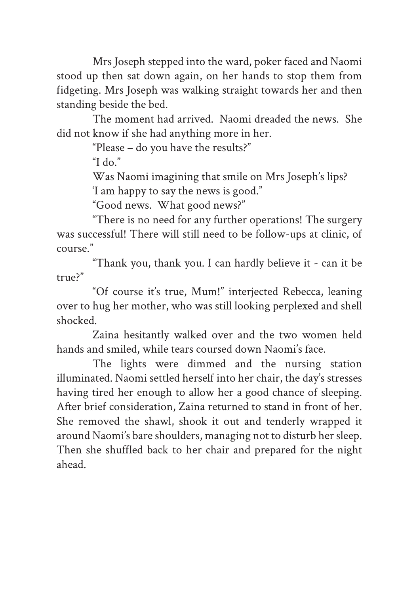Mrs Joseph stepped into the ward, poker faced and Naomi stood up then sat down again, on her hands to stop them from fidgeting. Mrs Joseph was walking straight towards her and then standing beside the bed.

The moment had arrived. Naomi dreaded the news. She did not know if she had anything more in her.

"Please – do you have the results?"

"I do."

Was Naomi imagining that smile on Mrs Joseph's lips?

'I am happy to say the news is good."

"Good news. What good news?"

"There is no need for any further operations! The surgery was successful! There will still need to be follow-ups at clinic, of course."

"Thank you, thank you. I can hardly believe it - can it be true?"

"Of course it's true, Mum!" interjected Rebecca, leaning over to hug her mother, who was still looking perplexed and shell shocked.

Zaina hesitantly walked over and the two women held hands and smiled, while tears coursed down Naomi's face.

The lights were dimmed and the nursing station illuminated. Naomi settled herself into her chair, the day's stresses having tired her enough to allow her a good chance of sleeping. After brief consideration, Zaina returned to stand in front of her. She removed the shawl, shook it out and tenderly wrapped it around Naomi's bare shoulders, managing not to disturb her sleep. Then she shuffled back to her chair and prepared for the night ahead.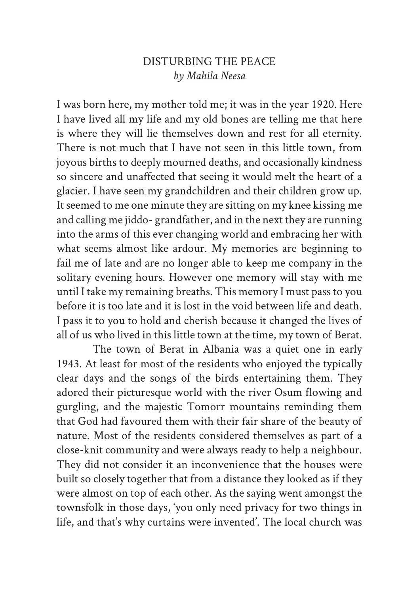## DISTURBING THE PEACE *by Mahila Neesa*

I was born here, my mother told me; it was in the year 1920. Here I have lived all my life and my old bones are telling me that here is where they will lie themselves down and rest for all eternity. There is not much that I have not seen in this little town, from joyous births to deeply mourned deaths, and occasionally kindness so sincere and unaffected that seeing it would melt the heart of a glacier. I have seen my grandchildren and their children grow up. It seemed to me one minute they are sitting on my knee kissing me and calling me jiddo- grandfather, and in the next they are running into the arms of this ever changing world and embracing her with what seems almost like ardour. My memories are beginning to fail me of late and are no longer able to keep me company in the solitary evening hours. However one memory will stay with me until I take my remaining breaths. This memory I must pass to you before it is too late and it is lost in the void between life and death. I pass it to you to hold and cherish because it changed the lives of all of us who lived in this little town at the time, my town of Berat.

The town of Berat in Albania was a quiet one in early 1943. At least for most of the residents who enjoyed the typically clear days and the songs of the birds entertaining them. They adored their picturesque world with the river Osum flowing and gurgling, and the majestic Tomorr mountains reminding them that God had favoured them with their fair share of the beauty of nature. Most of the residents considered themselves as part of a close-knit community and were always ready to help a neighbour. They did not consider it an inconvenience that the houses were built so closely together that from a distance they looked as if they were almost on top of each other. As the saying went amongst the townsfolk in those days, 'you only need privacy for two things in life, and that's why curtains were invented'. The local church was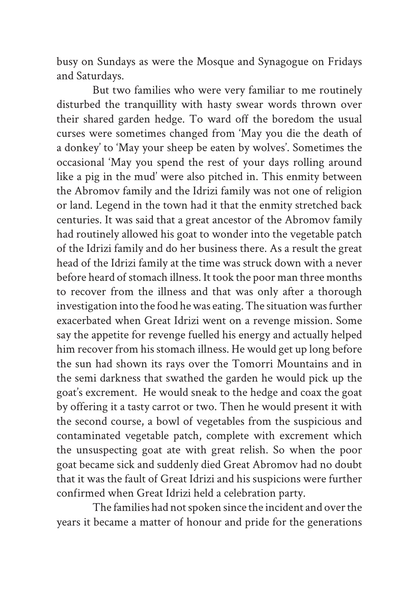busy on Sundays as were the Mosque and Synagogue on Fridays and Saturdays.

But two families who were very familiar to me routinely disturbed the tranquillity with hasty swear words thrown over their shared garden hedge. To ward off the boredom the usual curses were sometimes changed from 'May you die the death of a donkey' to 'May your sheep be eaten by wolves'. Sometimes the occasional 'May you spend the rest of your days rolling around like a pig in the mud' were also pitched in. This enmity between the Abromov family and the Idrizi family was not one of religion or land. Legend in the town had it that the enmity stretched back centuries. It was said that a great ancestor of the Abromov family had routinely allowed his goat to wonder into the vegetable patch of the Idrizi family and do her business there. As a result the great head of the Idrizi family at the time was struck down with a never before heard of stomach illness. It took the poor man three months to recover from the illness and that was only after a thorough investigation into the food he was eating. The situation was further exacerbated when Great Idrizi went on a revenge mission. Some say the appetite for revenge fuelled his energy and actually helped him recover from his stomach illness. He would get up long before the sun had shown its rays over the Tomorri Mountains and in the semi darkness that swathed the garden he would pick up the goat's excrement. He would sneak to the hedge and coax the goat by offering it a tasty carrot or two. Then he would present it with the second course, a bowl of vegetables from the suspicious and contaminated vegetable patch, complete with excrement which the unsuspecting goat ate with great relish. So when the poor goat became sick and suddenly died Great Abromov had no doubt that it was the fault of Great Idrizi and his suspicions were further confirmed when Great Idrizi held a celebration party.

The families had not spoken since the incident and over the years it became a matter of honour and pride for the generations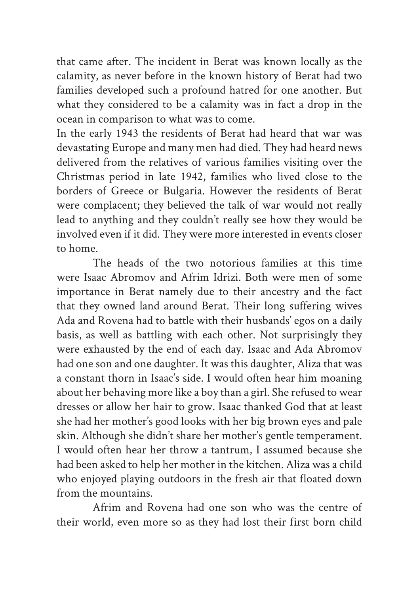that came after. The incident in Berat was known locally as the calamity, as never before in the known history of Berat had two families developed such a profound hatred for one another. But what they considered to be a calamity was in fact a drop in the ocean in comparison to what was to come.

In the early 1943 the residents of Berat had heard that war was devastating Europe and many men had died. They had heard news delivered from the relatives of various families visiting over the Christmas period in late 1942, families who lived close to the borders of Greece or Bulgaria. However the residents of Berat were complacent; they believed the talk of war would not really lead to anything and they couldn't really see how they would be involved even if it did. They were more interested in events closer to home.

The heads of the two notorious families at this time were Isaac Abromov and Afrim Idrizi. Both were men of some importance in Berat namely due to their ancestry and the fact that they owned land around Berat. Their long suffering wives Ada and Rovena had to battle with their husbands' egos on a daily basis, as well as battling with each other. Not surprisingly they were exhausted by the end of each day. Isaac and Ada Abromov had one son and one daughter. It was this daughter, Aliza that was a constant thorn in Isaac's side. I would often hear him moaning about her behaving more like a boy than a girl. She refused to wear dresses or allow her hair to grow. Isaac thanked God that at least she had her mother's good looks with her big brown eyes and pale skin. Although she didn't share her mother's gentle temperament. I would often hear her throw a tantrum, I assumed because she had been asked to help her mother in the kitchen. Aliza was a child who enjoyed playing outdoors in the fresh air that floated down from the mountains.

Afrim and Rovena had one son who was the centre of their world, even more so as they had lost their first born child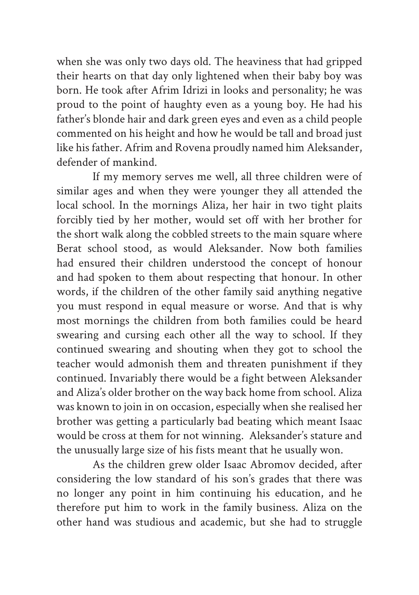when she was only two days old. The heaviness that had gripped their hearts on that day only lightened when their baby boy was born. He took after Afrim Idrizi in looks and personality; he was proud to the point of haughty even as a young boy. He had his father's blonde hair and dark green eyes and even as a child people commented on his height and how he would be tall and broad just like his father. Afrim and Rovena proudly named him Aleksander, defender of mankind.

If my memory serves me well, all three children were of similar ages and when they were younger they all attended the local school. In the mornings Aliza, her hair in two tight plaits forcibly tied by her mother, would set off with her brother for the short walk along the cobbled streets to the main square where Berat school stood, as would Aleksander. Now both families had ensured their children understood the concept of honour and had spoken to them about respecting that honour. In other words, if the children of the other family said anything negative you must respond in equal measure or worse. And that is why most mornings the children from both families could be heard swearing and cursing each other all the way to school. If they continued swearing and shouting when they got to school the teacher would admonish them and threaten punishment if they continued. Invariably there would be a fight between Aleksander and Aliza's older brother on the way back home from school. Aliza was known to join in on occasion, especially when she realised her brother was getting a particularly bad beating which meant Isaac would be cross at them for not winning. Aleksander's stature and the unusually large size of his fists meant that he usually won.

As the children grew older Isaac Abromov decided, after considering the low standard of his son's grades that there was no longer any point in him continuing his education, and he therefore put him to work in the family business. Aliza on the other hand was studious and academic, but she had to struggle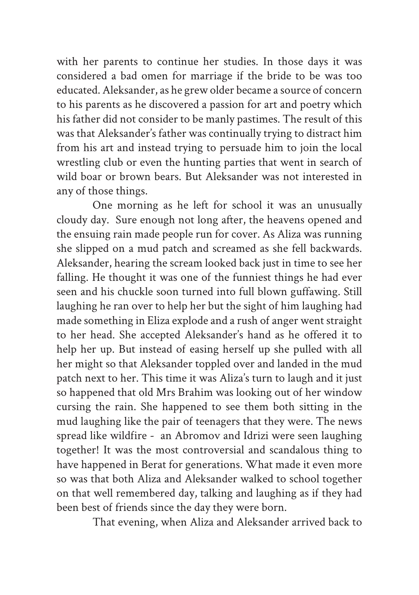with her parents to continue her studies. In those days it was considered a bad omen for marriage if the bride to be was too educated. Aleksander, as he grew older became a source of concern to his parents as he discovered a passion for art and poetry which his father did not consider to be manly pastimes. The result of this was that Aleksander's father was continually trying to distract him from his art and instead trying to persuade him to join the local wrestling club or even the hunting parties that went in search of wild boar or brown bears. But Aleksander was not interested in any of those things.

One morning as he left for school it was an unusually cloudy day. Sure enough not long after, the heavens opened and the ensuing rain made people run for cover. As Aliza was running she slipped on a mud patch and screamed as she fell backwards. Aleksander, hearing the scream looked back just in time to see her falling. He thought it was one of the funniest things he had ever seen and his chuckle soon turned into full blown guffawing. Still laughing he ran over to help her but the sight of him laughing had made something in Eliza explode and a rush of anger went straight to her head. She accepted Aleksander's hand as he offered it to help her up. But instead of easing herself up she pulled with all her might so that Aleksander toppled over and landed in the mud patch next to her. This time it was Aliza's turn to laugh and it just so happened that old Mrs Brahim was looking out of her window cursing the rain. She happened to see them both sitting in the mud laughing like the pair of teenagers that they were. The news spread like wildfire - an Abromov and Idrizi were seen laughing together! It was the most controversial and scandalous thing to have happened in Berat for generations. What made it even more so was that both Aliza and Aleksander walked to school together on that well remembered day, talking and laughing as if they had been best of friends since the day they were born.

That evening, when Aliza and Aleksander arrived back to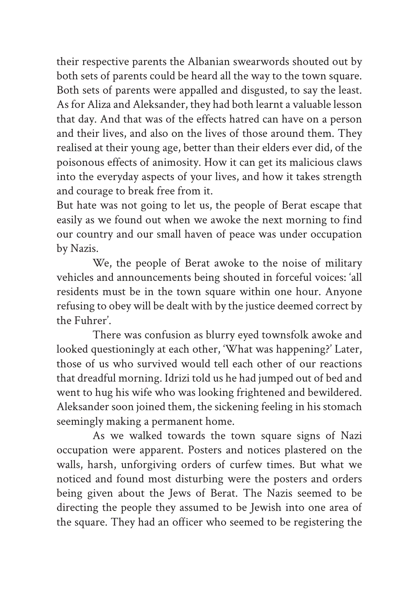their respective parents the Albanian swearwords shouted out by both sets of parents could be heard all the way to the town square. Both sets of parents were appalled and disgusted, to say the least. As for Aliza and Aleksander, they had both learnt a valuable lesson that day. And that was of the effects hatred can have on a person and their lives, and also on the lives of those around them. They realised at their young age, better than their elders ever did, of the poisonous effects of animosity. How it can get its malicious claws into the everyday aspects of your lives, and how it takes strength and courage to break free from it.

But hate was not going to let us, the people of Berat escape that easily as we found out when we awoke the next morning to find our country and our small haven of peace was under occupation by Nazis.

We, the people of Berat awoke to the noise of military vehicles and announcements being shouted in forceful voices: 'all residents must be in the town square within one hour. Anyone refusing to obey will be dealt with by the justice deemed correct by the Fuhrer'.

There was confusion as blurry eyed townsfolk awoke and looked questioningly at each other, 'What was happening?' Later, those of us who survived would tell each other of our reactions that dreadful morning. Idrizi told us he had jumped out of bed and went to hug his wife who was looking frightened and bewildered. Aleksander soon joined them, the sickening feeling in his stomach seemingly making a permanent home.

As we walked towards the town square signs of Nazi occupation were apparent. Posters and notices plastered on the walls, harsh, unforgiving orders of curfew times. But what we noticed and found most disturbing were the posters and orders being given about the Jews of Berat. The Nazis seemed to be directing the people they assumed to be Jewish into one area of the square. They had an officer who seemed to be registering the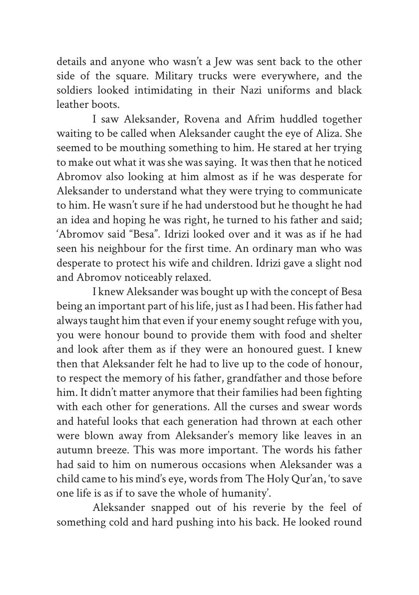details and anyone who wasn't a Jew was sent back to the other side of the square. Military trucks were everywhere, and the soldiers looked intimidating in their Nazi uniforms and black leather boots.

I saw Aleksander, Rovena and Afrim huddled together waiting to be called when Aleksander caught the eye of Aliza. She seemed to be mouthing something to him. He stared at her trying to make out what it was she was saying. It was then that he noticed Abromov also looking at him almost as if he was desperate for Aleksander to understand what they were trying to communicate to him. He wasn't sure if he had understood but he thought he had an idea and hoping he was right, he turned to his father and said; 'Abromov said "Besa". Idrizi looked over and it was as if he had seen his neighbour for the first time. An ordinary man who was desperate to protect his wife and children. Idrizi gave a slight nod and Abromov noticeably relaxed.

I knew Aleksander was bought up with the concept of Besa being an important part of his life, just as I had been. His father had always taught him that even if your enemy sought refuge with you, you were honour bound to provide them with food and shelter and look after them as if they were an honoured guest. I knew then that Aleksander felt he had to live up to the code of honour, to respect the memory of his father, grandfather and those before him. It didn't matter anymore that their families had been fighting with each other for generations. All the curses and swear words and hateful looks that each generation had thrown at each other were blown away from Aleksander's memory like leaves in an autumn breeze. This was more important. The words his father had said to him on numerous occasions when Aleksander was a child came to his mind's eye, words from The Holy Qur'an, 'to save one life is as if to save the whole of humanity'.

Aleksander snapped out of his reverie by the feel of something cold and hard pushing into his back. He looked round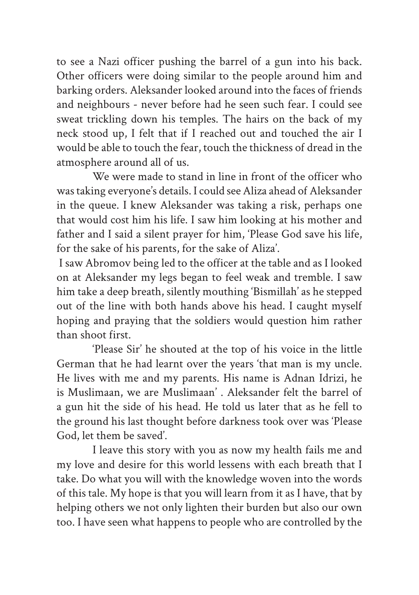to see a Nazi officer pushing the barrel of a gun into his back. Other officers were doing similar to the people around him and barking orders. Aleksander looked around into the faces of friends and neighbours - never before had he seen such fear. I could see sweat trickling down his temples. The hairs on the back of my neck stood up, I felt that if I reached out and touched the air I would be able to touch the fear, touch the thickness of dread in the atmosphere around all of us.

We were made to stand in line in front of the officer who was taking everyone's details. I could see Aliza ahead of Aleksander in the queue. I knew Aleksander was taking a risk, perhaps one that would cost him his life. I saw him looking at his mother and father and I said a silent prayer for him, 'Please God save his life, for the sake of his parents, for the sake of Aliza'.

 I saw Abromov being led to the officer at the table and as I looked on at Aleksander my legs began to feel weak and tremble. I saw him take a deep breath, silently mouthing 'Bismillah' as he stepped out of the line with both hands above his head. I caught myself hoping and praying that the soldiers would question him rather than shoot first.

'Please Sir' he shouted at the top of his voice in the little German that he had learnt over the years 'that man is my uncle. He lives with me and my parents. His name is Adnan Idrizi, he is Muslimaan, we are Muslimaan' . Aleksander felt the barrel of a gun hit the side of his head. He told us later that as he fell to the ground his last thought before darkness took over was 'Please God, let them be saved'.

I leave this story with you as now my health fails me and my love and desire for this world lessens with each breath that I take. Do what you will with the knowledge woven into the words of this tale. My hope is that you will learn from it as I have, that by helping others we not only lighten their burden but also our own too. I have seen what happens to people who are controlled by the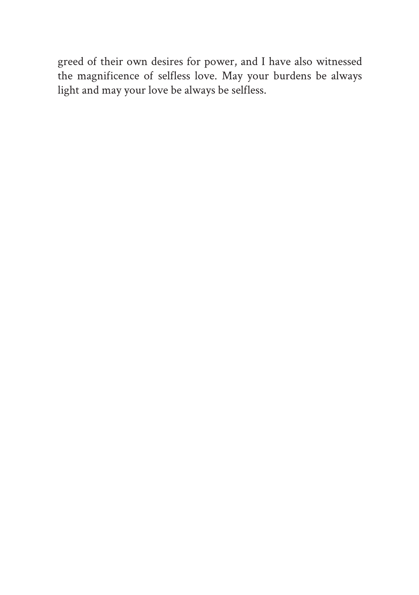greed of their own desires for power, and I have also witnessed the magnificence of selfless love. May your burdens be always light and may your love be always be selfless.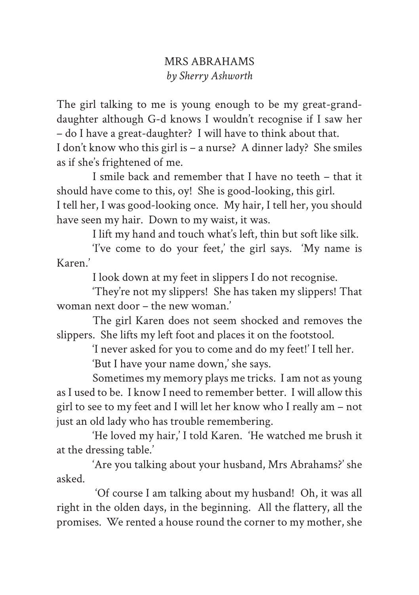## MRS ABRAHAMS *by Sherry Ashworth*

The girl talking to me is young enough to be my great-granddaughter although G-d knows I wouldn't recognise if I saw her – do I have a great-daughter? I will have to think about that. I don't know who this girl is – a nurse? A dinner lady? She smiles

as if she's frightened of me.

I smile back and remember that I have no teeth – that it should have come to this, oy! She is good-looking, this girl.

I tell her, I was good-looking once. My hair, I tell her, you should have seen my hair. Down to my waist, it was.

I lift my hand and touch what's left, thin but soft like silk.

'I've come to do your feet,' the girl says. 'My name is Karen.'

I look down at my feet in slippers I do not recognise.

'They're not my slippers! She has taken my slippers! That woman next door – the new woman.'

The girl Karen does not seem shocked and removes the slippers. She lifts my left foot and places it on the footstool.

'I never asked for you to come and do my feet!' I tell her.

'But I have your name down,' she says.

Sometimes my memory plays me tricks. I am not as young as I used to be. I know I need to remember better. I will allow this girl to see to my feet and I will let her know who I really am – not just an old lady who has trouble remembering.

'He loved my hair,' I told Karen. 'He watched me brush it at the dressing table.'

'Are you talking about your husband, Mrs Abrahams?' she asked.

 'Of course I am talking about my husband! Oh, it was all right in the olden days, in the beginning. All the flattery, all the promises. We rented a house round the corner to my mother, she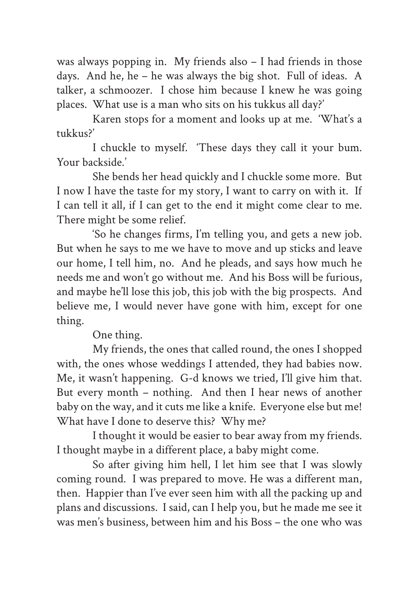was always popping in. My friends also – I had friends in those days. And he, he – he was always the big shot. Full of ideas. A talker, a schmoozer. I chose him because I knew he was going places. What use is a man who sits on his tukkus all day?'

Karen stops for a moment and looks up at me. 'What's a tukkus?'

I chuckle to myself. 'These days they call it your bum. Your backside.'

She bends her head quickly and I chuckle some more. But I now I have the taste for my story, I want to carry on with it. If I can tell it all, if I can get to the end it might come clear to me. There might be some relief.

'So he changes firms, I'm telling you, and gets a new job. But when he says to me we have to move and up sticks and leave our home, I tell him, no. And he pleads, and says how much he needs me and won't go without me. And his Boss will be furious, and maybe he'll lose this job, this job with the big prospects. And believe me, I would never have gone with him, except for one thing.

One thing.

My friends, the ones that called round, the ones I shopped with, the ones whose weddings I attended, they had babies now. Me, it wasn't happening. G-d knows we tried, I'll give him that. But every month – nothing. And then I hear news of another baby on the way, and it cuts me like a knife. Everyone else but me! What have I done to deserve this? Why me?

I thought it would be easier to bear away from my friends. I thought maybe in a different place, a baby might come.

So after giving him hell, I let him see that I was slowly coming round. I was prepared to move. He was a different man, then. Happier than I've ever seen him with all the packing up and plans and discussions. I said, can I help you, but he made me see it was men's business, between him and his Boss – the one who was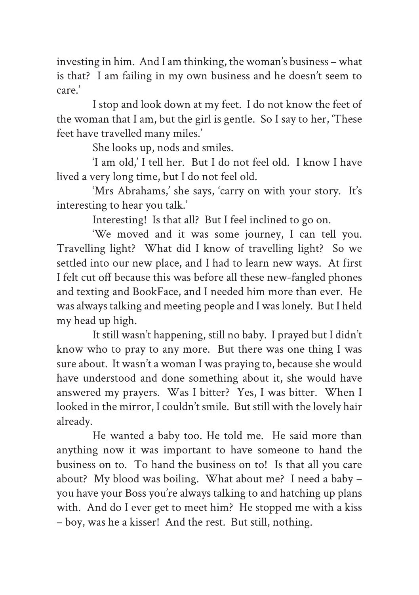investing in him. And I am thinking, the woman's business – what is that? I am failing in my own business and he doesn't seem to care.'

I stop and look down at my feet. I do not know the feet of the woman that I am, but the girl is gentle. So I say to her, 'These feet have travelled many miles.'

She looks up, nods and smiles.

'I am old,' I tell her. But I do not feel old. I know I have lived a very long time, but I do not feel old.

'Mrs Abrahams,' she says, 'carry on with your story. It's interesting to hear you talk.'

Interesting! Is that all? But I feel inclined to go on.

'We moved and it was some journey, I can tell you. Travelling light? What did I know of travelling light? So we settled into our new place, and I had to learn new ways. At first I felt cut off because this was before all these new-fangled phones and texting and BookFace, and I needed him more than ever. He was always talking and meeting people and I was lonely. But I held my head up high.

It still wasn't happening, still no baby. I prayed but I didn't know who to pray to any more. But there was one thing I was sure about. It wasn't a woman I was praying to, because she would have understood and done something about it, she would have answered my prayers. Was I bitter? Yes, I was bitter. When I looked in the mirror, I couldn't smile. But still with the lovely hair already.

He wanted a baby too. He told me. He said more than anything now it was important to have someone to hand the business on to. To hand the business on to! Is that all you care about? My blood was boiling. What about me? I need a baby – you have your Boss you're always talking to and hatching up plans with. And do I ever get to meet him? He stopped me with a kiss – boy, was he a kisser! And the rest. But still, nothing.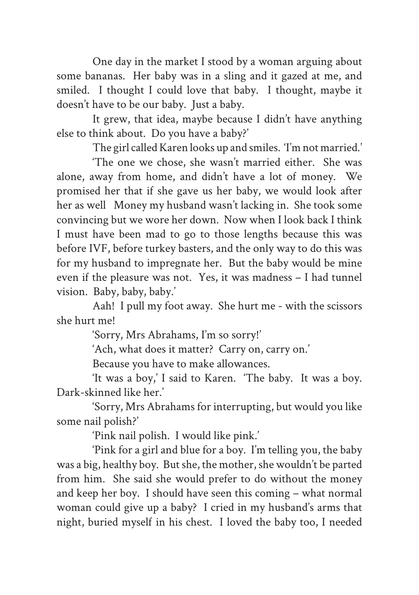One day in the market I stood by a woman arguing about some bananas. Her baby was in a sling and it gazed at me, and smiled. I thought I could love that baby. I thought, maybe it doesn't have to be our baby. Just a baby.

It grew, that idea, maybe because I didn't have anything else to think about. Do you have a baby?'

The girl called Karen looks up and smiles. 'I'm not married.'

'The one we chose, she wasn't married either. She was alone, away from home, and didn't have a lot of money. We promised her that if she gave us her baby, we would look after her as well Money my husband wasn't lacking in. She took some convincing but we wore her down. Now when I look back I think I must have been mad to go to those lengths because this was before IVF, before turkey basters, and the only way to do this was for my husband to impregnate her. But the baby would be mine even if the pleasure was not. Yes, it was madness – I had tunnel vision. Baby, baby, baby.'

Aah! I pull my foot away. She hurt me - with the scissors she hurt me!

'Sorry, Mrs Abrahams, I'm so sorry!'

'Ach, what does it matter? Carry on, carry on.'

Because you have to make allowances.

'It was a boy,' I said to Karen. 'The baby. It was a boy. Dark-skinned like her.'

'Sorry, Mrs Abrahams for interrupting, but would you like some nail polish?'

'Pink nail polish. I would like pink.'

'Pink for a girl and blue for a boy. I'm telling you, the baby was a big, healthy boy. But she, the mother, she wouldn't be parted from him. She said she would prefer to do without the money and keep her boy. I should have seen this coming – what normal woman could give up a baby? I cried in my husband's arms that night, buried myself in his chest. I loved the baby too, I needed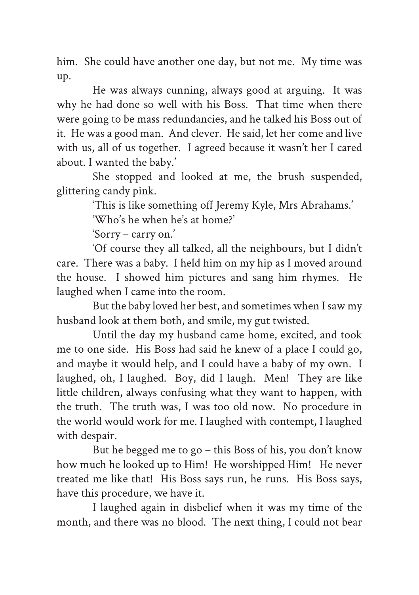him. She could have another one day, but not me. My time was up.

He was always cunning, always good at arguing. It was why he had done so well with his Boss. That time when there were going to be mass redundancies, and he talked his Boss out of it. He was a good man. And clever. He said, let her come and live with us, all of us together. I agreed because it wasn't her I cared about. I wanted the baby.'

She stopped and looked at me, the brush suspended, glittering candy pink.

'This is like something off Jeremy Kyle, Mrs Abrahams.'

'Who's he when he's at home?'

'Sorry – carry on.'

'Of course they all talked, all the neighbours, but I didn't care. There was a baby. I held him on my hip as I moved around the house. I showed him pictures and sang him rhymes. He laughed when I came into the room.

But the baby loved her best, and sometimes when I saw my husband look at them both, and smile, my gut twisted.

Until the day my husband came home, excited, and took me to one side. His Boss had said he knew of a place I could go, and maybe it would help, and I could have a baby of my own. I laughed, oh, I laughed. Boy, did I laugh. Men! They are like little children, always confusing what they want to happen, with the truth. The truth was, I was too old now. No procedure in the world would work for me. I laughed with contempt, I laughed with despair.

But he begged me to go – this Boss of his, you don't know how much he looked up to Him! He worshipped Him! He never treated me like that! His Boss says run, he runs. His Boss says, have this procedure, we have it.

I laughed again in disbelief when it was my time of the month, and there was no blood. The next thing, I could not bear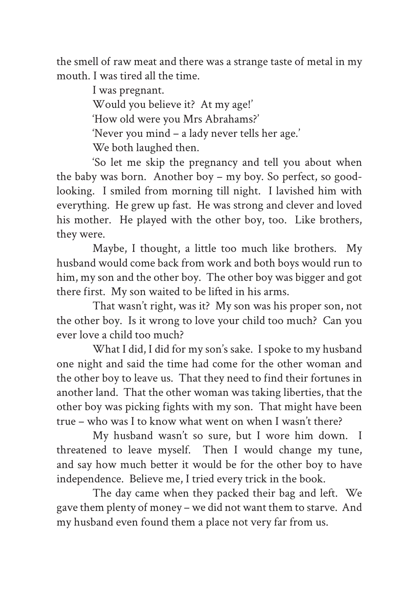the smell of raw meat and there was a strange taste of metal in my mouth. I was tired all the time.

> I was pregnant. Would you believe it? At my age!' 'How old were you Mrs Abrahams?' 'Never you mind – a lady never tells her age.' We both laughed then.

'So let me skip the pregnancy and tell you about when the baby was born. Another boy – my boy. So perfect, so goodlooking. I smiled from morning till night. I lavished him with everything. He grew up fast. He was strong and clever and loved his mother. He played with the other boy, too. Like brothers, they were.

Maybe, I thought, a little too much like brothers. My husband would come back from work and both boys would run to him, my son and the other boy. The other boy was bigger and got there first. My son waited to be lifted in his arms.

That wasn't right, was it? My son was his proper son, not the other boy. Is it wrong to love your child too much? Can you ever love a child too much?

What I did, I did for my son's sake. I spoke to my husband one night and said the time had come for the other woman and the other boy to leave us. That they need to find their fortunes in another land. That the other woman was taking liberties, that the other boy was picking fights with my son. That might have been true – who was I to know what went on when I wasn't there?

My husband wasn't so sure, but I wore him down. I threatened to leave myself. Then I would change my tune, and say how much better it would be for the other boy to have independence. Believe me, I tried every trick in the book.

The day came when they packed their bag and left. We gave them plenty of money – we did not want them to starve. And my husband even found them a place not very far from us.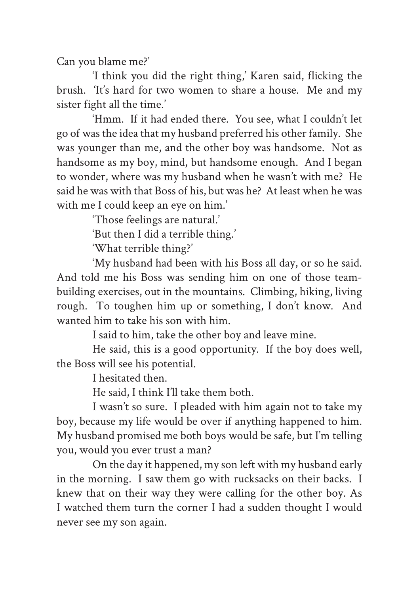Can you blame me?'

'I think you did the right thing,' Karen said, flicking the brush. 'It's hard for two women to share a house. Me and my sister fight all the time.'

'Hmm. If it had ended there. You see, what I couldn't let go of was the idea that my husband preferred his other family. She was younger than me, and the other boy was handsome. Not as handsome as my boy, mind, but handsome enough. And I began to wonder, where was my husband when he wasn't with me? He said he was with that Boss of his, but was he? At least when he was with me I could keep an eye on him.'

'Those feelings are natural.'

'But then I did a terrible thing.'

'What terrible thing?'

'My husband had been with his Boss all day, or so he said. And told me his Boss was sending him on one of those teambuilding exercises, out in the mountains. Climbing, hiking, living rough. To toughen him up or something, I don't know. And wanted him to take his son with him.

I said to him, take the other boy and leave mine.

He said, this is a good opportunity. If the boy does well, the Boss will see his potential.

I hesitated then.

He said, I think I'll take them both.

I wasn't so sure. I pleaded with him again not to take my boy, because my life would be over if anything happened to him. My husband promised me both boys would be safe, but I'm telling you, would you ever trust a man?

On the day it happened, my son left with my husband early in the morning. I saw them go with rucksacks on their backs. I knew that on their way they were calling for the other boy. As I watched them turn the corner I had a sudden thought I would never see my son again.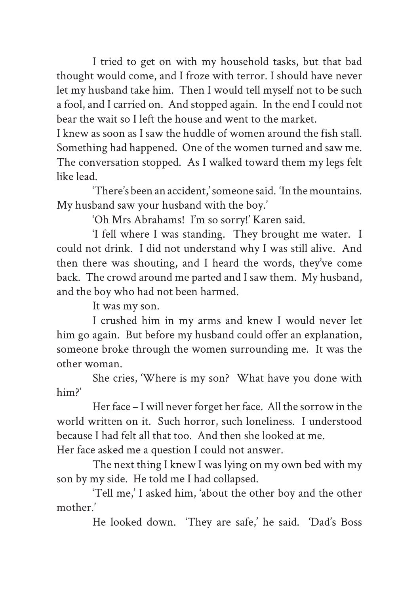I tried to get on with my household tasks, but that bad thought would come, and I froze with terror. I should have never let my husband take him. Then I would tell myself not to be such a fool, and I carried on. And stopped again. In the end I could not bear the wait so I left the house and went to the market.

I knew as soon as I saw the huddle of women around the fish stall. Something had happened. One of the women turned and saw me. The conversation stopped. As I walked toward them my legs felt like lead.

'There's been an accident,' someone said. 'In the mountains. My husband saw your husband with the boy.'

'Oh Mrs Abrahams! I'm so sorry!' Karen said.

'I fell where I was standing. They brought me water. I could not drink. I did not understand why I was still alive. And then there was shouting, and I heard the words, they've come back. The crowd around me parted and I saw them. My husband, and the boy who had not been harmed.

It was my son.

I crushed him in my arms and knew I would never let him go again. But before my husband could offer an explanation, someone broke through the women surrounding me. It was the other woman.

She cries, 'Where is my son? What have you done with him?'

Her face – I will never forget her face. All the sorrow in the world written on it. Such horror, such loneliness. I understood because I had felt all that too. And then she looked at me. Her face asked me a question I could not answer.

The next thing I knew I was lying on my own bed with my son by my side. He told me I had collapsed.

'Tell me,' I asked him, 'about the other boy and the other mother.'

He looked down. 'They are safe,' he said. 'Dad's Boss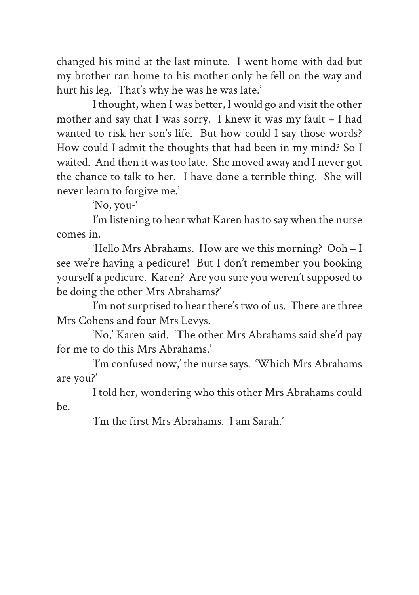changed his mind at the last minute. I went home with dad but my brother ran home to his mother only he fell on the way and hurt his leg. That's why he was he was late.'

I thought, when I was better, I would go and visit the other mother and say that I was sorry. I knew it was my fault – I had wanted to risk her son's life. But how could I say those words? How could I admit the thoughts that had been in my mind? So I waited. And then it was too late. She moved away and I never got the chance to talk to her. I have done a terrible thing. She will never learn to forgive me.'

'No, you-'

I'm listening to hear what Karen has to say when the nurse comes in.

'Hello Mrs Abrahams. How are we this morning? Ooh – I see we're having a pedicure! But I don't remember you booking yourself a pedicure. Karen? Are you sure you weren't supposed to be doing the other Mrs Abrahams?'

I'm not surprised to hear there's two of us. There are three Mrs Cohens and four Mrs Levys.

'No,' Karen said. 'The other Mrs Abrahams said she'd pay for me to do this Mrs Abrahams.'

'I'm confused now,' the nurse says. 'Which Mrs Abrahams are you?'

I told her, wondering who this other Mrs Abrahams could be.

'I'm the first Mrs Abrahams. I am Sarah.'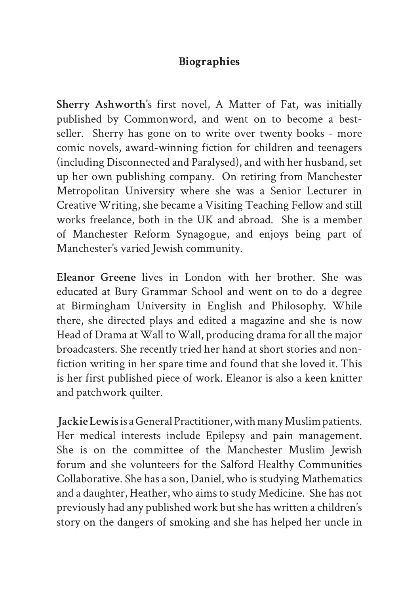## **Biographies**

**Sherry Ashworth'**s first novel, A Matter of Fat, was initially published by Commonword, and went on to become a bestseller. Sherry has gone on to write over twenty books - more comic novels, award-winning fiction for children and teenagers (including Disconnected and Paralysed), and with her husband, set up her own publishing company. On retiring from Manchester Metropolitan University where she was a Senior Lecturer in Creative Writing, she became a Visiting Teaching Fellow and still works freelance, both in the UK and abroad. She is a member of Manchester Reform Synagogue, and enjoys being part of Manchester's varied Jewish community.

**Eleanor Greene** lives in London with her brother. She was educated at Bury Grammar School and went on to do a degree at Birmingham University in English and Philosophy. While there, she directed plays and edited a magazine and she is now Head of Drama at Wall to Wall, producing drama for all the major broadcasters. She recently tried her hand at short stories and nonfiction writing in her spare time and found that she loved it. This is her first published piece of work. Eleanor is also a keen knitter and patchwork quilter.

**Jackie Lewis** is a General Practitioner, with many Muslim patients. Her medical interests include Epilepsy and pain management. She is on the committee of the Manchester Muslim Jewish forum and she volunteers for the Salford Healthy Communities Collaborative. She has a son, Daniel, who is studying Mathematics and a daughter, Heather, who aims to study Medicine. She has not previously had any published work but she has written a children's story on the dangers of smoking and she has helped her uncle in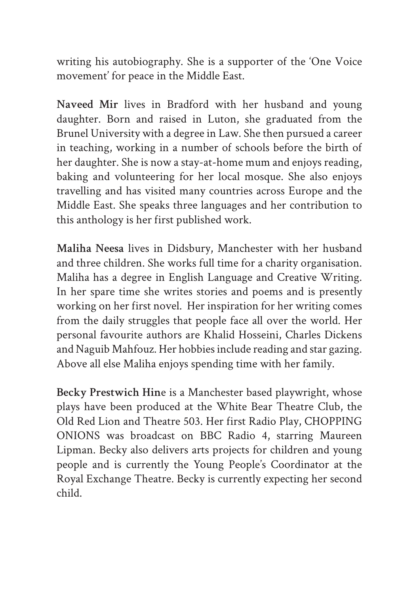writing his autobiography. She is a supporter of the 'One Voice movement' for peace in the Middle East.

**Naveed Mir** lives in Bradford with her husband and young daughter. Born and raised in Luton, she graduated from the Brunel University with a degree in Law. She then pursued a career in teaching, working in a number of schools before the birth of her daughter. She is now a stay-at-home mum and enjoys reading. baking and volunteering for her local mosque. She also enjoys travelling and has visited many countries across Europe and the Middle East. She speaks three languages and her contribution to this anthology is her first published work.

**Maliha Neesa** lives in Didsbury, Manchester with her husband and three children. She works full time for a charity organisation. Maliha has a degree in English Language and Creative Writing. In her spare time she writes stories and poems and is presently working on her first novel. Her inspiration for her writing comes from the daily struggles that people face all over the world. Her personal favourite authors are Khalid Hosseini, Charles Dickens and Naguib Mahfouz. Her hobbies include reading and star gazing. Above all else Maliha enjoys spending time with her family.

**Becky Prestwich Hin**e is a Manchester based playwright, whose plays have been produced at the White Bear Theatre Club, the Old Red Lion and Theatre 503. Her first Radio Play, CHOPPING ONIONS was broadcast on BBC Radio 4, starring Maureen Lipman. Becky also delivers arts projects for children and young people and is currently the Young People's Coordinator at the Royal Exchange Theatre. Becky is currently expecting her second child.